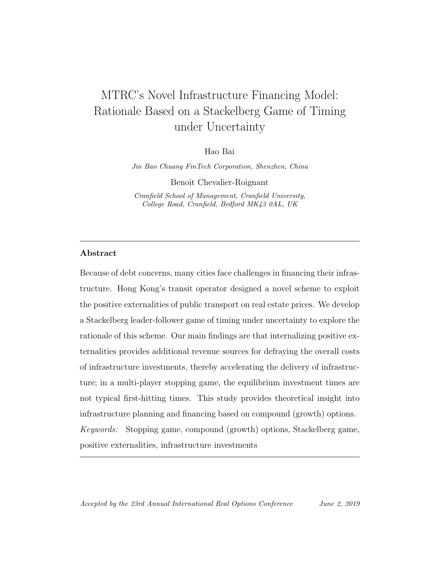# MTRC's Novel Infrastructure Financing Model: Rationale Based on a Stackelberg Game of Timing under Uncertainty

Hao Bai

Jin Bao Chuang FinTech Corporation, Shenzhen, China

Benoît Chevalier-Roignant

Cranfield School of Management, Cranfield University, College Road, Cranfield, Bedford MK43 0AL, UK

#### Abstract

Because of debt concerns, many cities face challenges in financing their infrastructure. Hong Kong's transit operator designed a novel scheme to exploit the positive externalities of public transport on real estate prices. We develop a Stackelberg leader-follower game of timing under uncertainty to explore the rationale of this scheme. Our main findings are that internalizing positive externalities provides additional revenue sources for defraying the overall costs of infrastructure investments, thereby accelerating the delivery of infrastructure; in a multi-player stopping game, the equilibrium investment times are not typical first-hitting times. This study provides theoretical insight into infrastructure planning and financing based on compound (growth) options. Keywords: Stopping game, compound (growth) options, Stackelberg game, positive externalities, infrastructure investments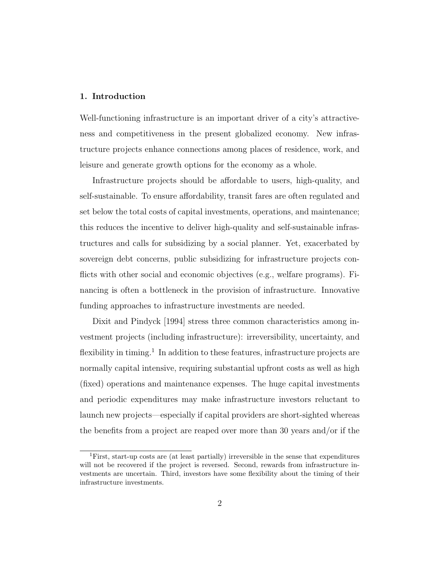#### 1. Introduction

Well-functioning infrastructure is an important driver of a city's attractiveness and competitiveness in the present globalized economy. New infrastructure projects enhance connections among places of residence, work, and leisure and generate growth options for the economy as a whole.

Infrastructure projects should be affordable to users, high-quality, and self-sustainable. To ensure affordability, transit fares are often regulated and set below the total costs of capital investments, operations, and maintenance; this reduces the incentive to deliver high-quality and self-sustainable infrastructures and calls for subsidizing by a social planner. Yet, exacerbated by sovereign debt concerns, public subsidizing for infrastructure projects conflicts with other social and economic objectives (e.g., welfare programs). Financing is often a bottleneck in the provision of infrastructure. Innovative funding approaches to infrastructure investments are needed.

Dixit and Pindyck [1994] stress three common characteristics among investment projects (including infrastructure): irreversibility, uncertainty, and flexibility in timing.<sup>1</sup> In addition to these features, infrastructure projects are normally capital intensive, requiring substantial upfront costs as well as high (fixed) operations and maintenance expenses. The huge capital investments and periodic expenditures may make infrastructure investors reluctant to launch new projects—especially if capital providers are short-sighted whereas the benefits from a project are reaped over more than 30 years and/or if the

<sup>1</sup>First, start-up costs are (at least partially) irreversible in the sense that expenditures will not be recovered if the project is reversed. Second, rewards from infrastructure investments are uncertain. Third, investors have some flexibility about the timing of their infrastructure investments.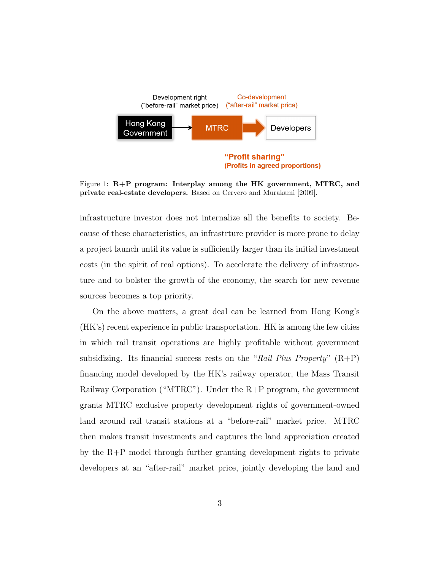

Figure 1:  $R+P$  program: Interplay among the HK government, MTRC, and private real-estate developers. Based on Cervero and Murakami [2009].

(Profits in agreed proportions)

infrastructure investor does not internalize all the benefits to society. Because of these characteristics, an infrastrture provider is more prone to delay a project launch until its value is sufficiently larger than its initial investment costs (in the spirit of real options). To accelerate the delivery of infrastructure and to bolster the growth of the economy, the search for new revenue sources becomes a top priority.

On the above matters, a great deal can be learned from Hong Kong's (HK's) recent experience in public transportation. HK is among the few cities in which rail transit operations are highly profitable without government subsidizing. Its financial success rests on the "Rail Plus Property"  $(R+P)$ financing model developed by the HK's railway operator, the Mass Transit Railway Corporation ("MTRC"). Under the R+P program, the government grants MTRC exclusive property development rights of government-owned land around rail transit stations at a "before-rail" market price. MTRC then makes transit investments and captures the land appreciation created by the R+P model through further granting development rights to private developers at an "after-rail" market price, jointly developing the land and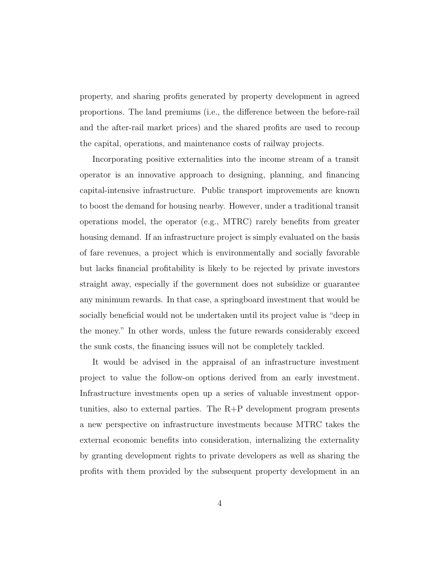property, and sharing profits generated by property development in agreed proportions. The land premiums (i.e., the difference between the before-rail and the after-rail market prices) and the shared profits are used to recoup the capital, operations, and maintenance costs of railway projects.

Incorporating positive externalities into the income stream of a transit operator is an innovative approach to designing, planning, and financing capital-intensive infrastructure. Public transport improvements are known to boost the demand for housing nearby. However, under a traditional transit operations model, the operator (e.g., MTRC) rarely benefits from greater housing demand. If an infrastructure project is simply evaluated on the basis of fare revenues, a project which is environmentally and socially favorable but lacks financial profitability is likely to be rejected by private investors straight away, especially if the government does not subsidize or guarantee any minimum rewards. In that case, a springboard investment that would be socially beneficial would not be undertaken until its project value is "deep in the money." In other words, unless the future rewards considerably exceed the sunk costs, the financing issues will not be completely tackled.

It would be advised in the appraisal of an infrastructure investment project to value the follow-on options derived from an early investment. Infrastructure investments open up a series of valuable investment opportunities, also to external parties. The R+P development program presents a new perspective on infrastructure investments because MTRC takes the external economic benefits into consideration, internalizing the externality by granting development rights to private developers as well as sharing the profits with them provided by the subsequent property development in an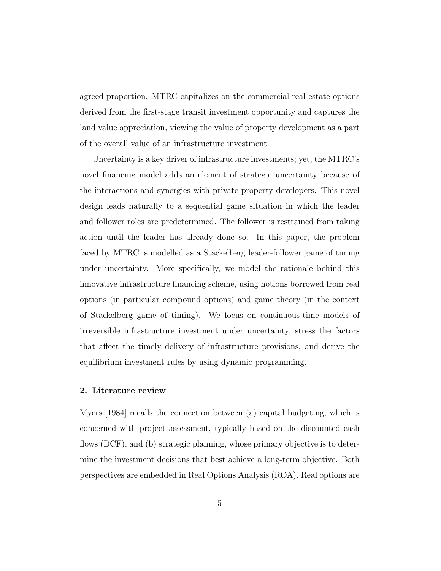agreed proportion. MTRC capitalizes on the commercial real estate options derived from the first-stage transit investment opportunity and captures the land value appreciation, viewing the value of property development as a part of the overall value of an infrastructure investment.

Uncertainty is a key driver of infrastructure investments; yet, the MTRC's novel financing model adds an element of strategic uncertainty because of the interactions and synergies with private property developers. This novel design leads naturally to a sequential game situation in which the leader and follower roles are predetermined. The follower is restrained from taking action until the leader has already done so. In this paper, the problem faced by MTRC is modelled as a Stackelberg leader-follower game of timing under uncertainty. More specifically, we model the rationale behind this innovative infrastructure financing scheme, using notions borrowed from real options (in particular compound options) and game theory (in the context of Stackelberg game of timing). We focus on continuous-time models of irreversible infrastructure investment under uncertainty, stress the factors that affect the timely delivery of infrastructure provisions, and derive the equilibrium investment rules by using dynamic programming.

#### 2. Literature review

Myers [1984] recalls the connection between (a) capital budgeting, which is concerned with project assessment, typically based on the discounted cash flows (DCF), and (b) strategic planning, whose primary objective is to determine the investment decisions that best achieve a long-term objective. Both perspectives are embedded in Real Options Analysis (ROA). Real options are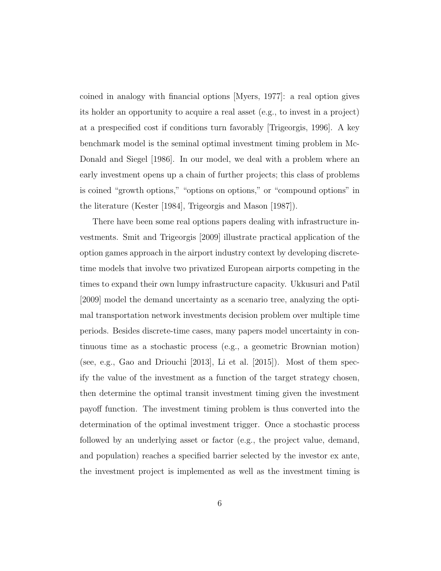coined in analogy with financial options [Myers, 1977]: a real option gives its holder an opportunity to acquire a real asset (e.g., to invest in a project) at a prespecified cost if conditions turn favorably [Trigeorgis, 1996]. A key benchmark model is the seminal optimal investment timing problem in Mc-Donald and Siegel [1986]. In our model, we deal with a problem where an early investment opens up a chain of further projects; this class of problems is coined "growth options," "options on options," or "compound options" in the literature (Kester [1984], Trigeorgis and Mason [1987]).

There have been some real options papers dealing with infrastructure investments. Smit and Trigeorgis [2009] illustrate practical application of the option games approach in the airport industry context by developing discretetime models that involve two privatized European airports competing in the times to expand their own lumpy infrastructure capacity. Ukkusuri and Patil [2009] model the demand uncertainty as a scenario tree, analyzing the optimal transportation network investments decision problem over multiple time periods. Besides discrete-time cases, many papers model uncertainty in continuous time as a stochastic process (e.g., a geometric Brownian motion) (see, e.g., Gao and Driouchi  $[2013]$ , Li et al.  $[2015]$ ). Most of them specify the value of the investment as a function of the target strategy chosen, then determine the optimal transit investment timing given the investment payoff function. The investment timing problem is thus converted into the determination of the optimal investment trigger. Once a stochastic process followed by an underlying asset or factor (e.g., the project value, demand, and population) reaches a specified barrier selected by the investor ex ante, the investment project is implemented as well as the investment timing is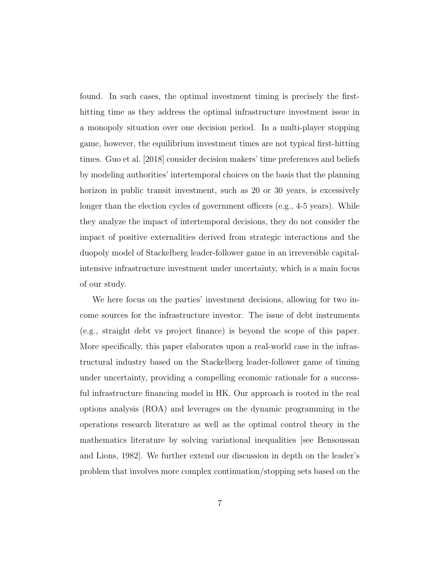found. In such cases, the optimal investment timing is precisely the firsthitting time as they address the optimal infrastructure investment issue in a monopoly situation over one decision period. In a multi-player stopping game, however, the equilibrium investment times are not typical first-hitting times. Guo et al. [2018] consider decision makers' time preferences and beliefs by modeling authorities' intertemporal choices on the basis that the planning horizon in public transit investment, such as 20 or 30 years, is excessively longer than the election cycles of government officers (e.g., 4-5 years). While they analyze the impact of intertemporal decisions, they do not consider the impact of positive externalities derived from strategic interactions and the duopoly model of Stackelberg leader-follower game in an irreversible capitalintensive infrastructure investment under uncertainty, which is a main focus of our study.

We here focus on the parties' investment decisions, allowing for two income sources for the infrastructure investor. The issue of debt instruments (e.g., straight debt vs project finance) is beyond the scope of this paper. More specifically, this paper elaborates upon a real-world case in the infrastructural industry based on the Stackelberg leader-follower game of timing under uncertainty, providing a compelling economic rationale for a successful infrastructure financing model in HK. Our approach is rooted in the real options analysis (ROA) and leverages on the dynamic programming in the operations research literature as well as the optimal control theory in the mathematics literature by solving variational inequalities [see Bensoussan and Lions, 1982]. We further extend our discussion in depth on the leader's problem that involves more complex continuation/stopping sets based on the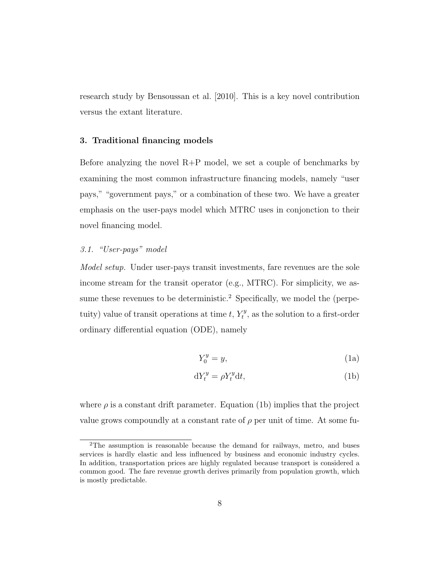research study by Bensoussan et al. [2010]. This is a key novel contribution versus the extant literature.

#### 3. Traditional financing models

Before analyzing the novel  $R+P$  model, we set a couple of benchmarks by examining the most common infrastructure financing models, namely "user pays," "government pays," or a combination of these two. We have a greater emphasis on the user-pays model which MTRC uses in conjonction to their novel financing model.

#### 3.1. "User-pays" model

Model setup. Under user-pays transit investments, fare revenues are the sole income stream for the transit operator (e.g., MTRC). For simplicity, we assume these revenues to be deterministic.<sup>2</sup> Specifically, we model the (perpetuity) value of transit operations at time t,  $Y_t^y$  $t_t^{y}$ , as the solution to a first-order ordinary differential equation (ODE), namely

$$
Y_0^y = y,\tag{1a}
$$

$$
dY_t^y = \rho Y_t^y dt,\t\t(1b)
$$

where  $\rho$  is a constant drift parameter. Equation (1b) implies that the project value grows compoundly at a constant rate of  $\rho$  per unit of time. At some fu-

<sup>2</sup>The assumption is reasonable because the demand for railways, metro, and buses services is hardly elastic and less influenced by business and economic industry cycles. In addition, transportation prices are highly regulated because transport is considered a common good. The fare revenue growth derives primarily from population growth, which is mostly predictable.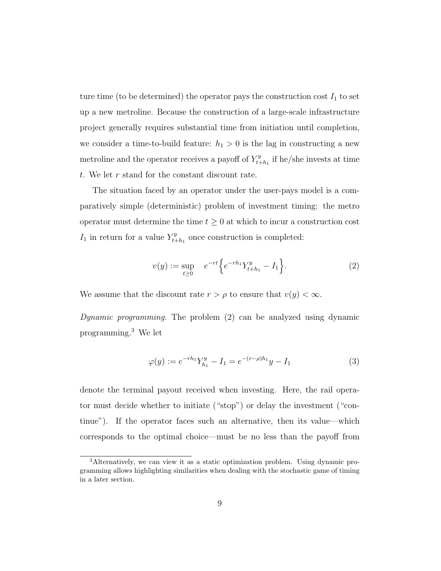ture time (to be determined) the operator pays the construction cost  $I_1$  to set up a new metroline. Because the construction of a large-scale infrastructure project generally requires substantial time from initiation until completion, we consider a time-to-build feature:  $h_1 > 0$  is the lag in constructing a new metroline and the operator receives a payoff of  $Y_{t+1}^y$  $t_{t+h_1}^y$  if he/she invests at time t. We let r stand for the constant discount rate.

The situation faced by an operator under the user-pays model is a comparatively simple (deterministic) problem of investment timing: the metro operator must determine the time  $t \geq 0$  at which to incur a construction cost  $I_1$  in return for a value  $Y_{t+1}^y$  $t_{t+h_1}^y$  once construction is completed:

$$
v(y) := \sup_{t \ge 0} e^{-rt} \left\{ e^{-rh_1} Y_{t+h_1}^y - I_1 \right\}.
$$
 (2)

We assume that the discount rate  $r > \rho$  to ensure that  $v(y) < \infty$ .

Dynamic programming. The problem (2) can be analyzed using dynamic programming.<sup>3</sup> We let

$$
\varphi(y) := e^{-rh_1} Y_{h_1}^y - I_1 = e^{-(r-\rho)h_1} y - I_1 \tag{3}
$$

denote the terminal payout received when investing. Here, the rail operator must decide whether to initiate ("stop") or delay the investment ("continue"). If the operator faces such an alternative, then its value—which corresponds to the optimal choice—must be no less than the payoff from

<sup>3</sup>Alternatively, we can view it as a static optimization problem. Using dynamic programming allows highlighting similarities when dealing with the stochastic game of timing in a later section.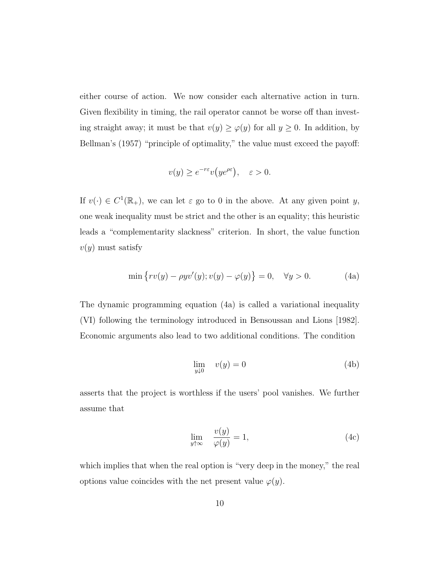either course of action. We now consider each alternative action in turn. Given flexibility in timing, the rail operator cannot be worse off than investing straight away; it must be that  $v(y) \ge \varphi(y)$  for all  $y \ge 0$ . In addition, by Bellman's (1957) "principle of optimality," the value must exceed the payoff:

$$
v(y) \ge e^{-r\varepsilon} v(y e^{\rho \varepsilon}), \quad \varepsilon > 0.
$$

If  $v(\cdot) \in C^1(\mathbb{R}_+),$  we can let  $\varepsilon$  go to 0 in the above. At any given point y, one weak inequality must be strict and the other is an equality; this heuristic leads a "complementarity slackness" criterion. In short, the value function  $v(y)$  must satisfy

$$
\min \{ rv(y) - \rho yv'(y); v(y) - \varphi(y) \} = 0, \quad \forall y > 0. \tag{4a}
$$

The dynamic programming equation (4a) is called a variational inequality (VI) following the terminology introduced in Bensoussan and Lions [1982]. Economic arguments also lead to two additional conditions. The condition

$$
\lim_{y \downarrow 0} \quad v(y) = 0 \tag{4b}
$$

asserts that the project is worthless if the users' pool vanishes. We further assume that

$$
\lim_{y \uparrow \infty} \quad \frac{v(y)}{\varphi(y)} = 1,\tag{4c}
$$

which implies that when the real option is "very deep in the money," the real options value coincides with the net present value  $\varphi(y)$ .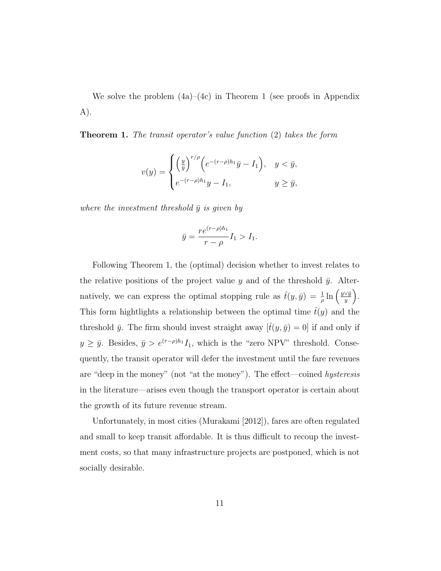We solve the problem (4a)–(4c) in Theorem 1 (see proofs in Appendix A).

Theorem 1. The transit operator's value function (2) takes the form

$$
v(y) = \begin{cases} \left(\frac{y}{\bar{y}}\right)^{r/\rho} \left(e^{-(r-\rho)h_1}\bar{y} - I_1\right), & y < \bar{y}, \\ e^{-(r-\rho)h_1}y - I_1, & y \ge \bar{y}, \end{cases}
$$

where the investment threshold  $\bar{y}$  is given by

$$
\bar{y} = \frac{re^{(r-\rho)h_1}}{r-\rho}I_1 > I_1.
$$

Following Theorem 1, the (optimal) decision whether to invest relates to the relative positions of the project value y and of the threshold  $\bar{y}$ . Alternatively, we can express the optimal stopping rule as  $\hat{t}(y, \bar{y}) = \frac{1}{\rho} \ln \left( \frac{y \vee \bar{y}}{y} \right)$  $\frac{\vee \bar{y}}{y}$ . This form hightlights a relationship between the optimal time  $\hat{t}(y)$  and the threshold  $\bar{y}$ . The firm should invest straight away  $[\hat{t}(y, \bar{y}) = 0]$  if and only if  $y \ge \bar{y}$ . Besides,  $\bar{y} > e^{(r-\rho)h_1}I_1$ , which is the "zero NPV" threshold. Consequently, the transit operator will defer the investment until the fare revenues are "deep in the money" (not "at the money"). The effect—coined hysteresis in the literature—arises even though the transport operator is certain about the growth of its future revenue stream.

Unfortunately, in most cities (Murakami [2012]), fares are often regulated and small to keep transit affordable. It is thus difficult to recoup the investment costs, so that many infrastructure projects are postponed, which is not socially desirable.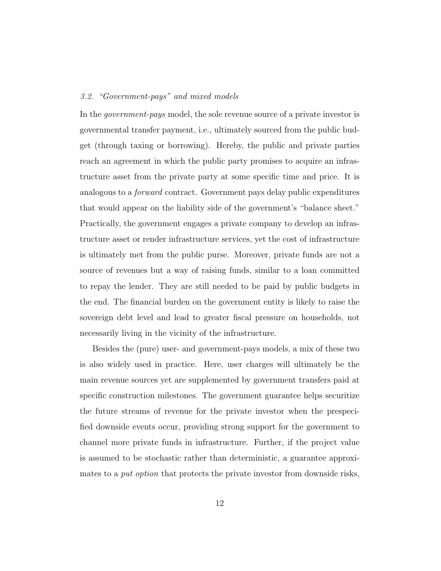#### 3.2. "Government-pays" and mixed models

In the government-pays model, the sole revenue source of a private investor is governmental transfer payment, i.e., ultimately sourced from the public budget (through taxing or borrowing). Hereby, the public and private parties reach an agreement in which the public party promises to acquire an infrastructure asset from the private party at some specific time and price. It is analogous to a forward contract. Government pays delay public expenditures that would appear on the liability side of the government's "balance sheet." Practically, the government engages a private company to develop an infrastructure asset or render infrastructure services, yet the cost of infrastructure is ultimately met from the public purse. Moreover, private funds are not a source of revenues but a way of raising funds, similar to a loan committed to repay the lender. They are still needed to be paid by public budgets in the end. The financial burden on the government entity is likely to raise the sovereign debt level and lead to greater fiscal pressure on households, not necessarily living in the vicinity of the infrastructure.

Besides the (pure) user- and government-pays models, a mix of these two is also widely used in practice. Here, user charges will ultimately be the main revenue sources yet are supplemented by government transfers paid at specific construction milestones. The government guarantee helps securitize the future streams of revenue for the private investor when the prespecified downside events occur, providing strong support for the government to channel more private funds in infrastructure. Further, if the project value is assumed to be stochastic rather than deterministic, a guarantee approximates to a *put option* that protects the private investor from downside risks,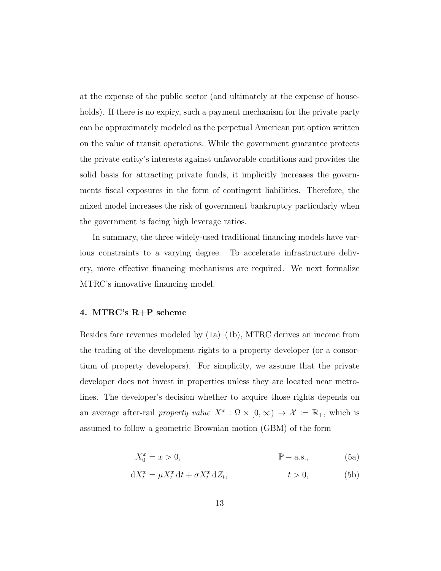at the expense of the public sector (and ultimately at the expense of households). If there is no expiry, such a payment mechanism for the private party can be approximately modeled as the perpetual American put option written on the value of transit operations. While the government guarantee protects the private entity's interests against unfavorable conditions and provides the solid basis for attracting private funds, it implicitly increases the governments fiscal exposures in the form of contingent liabilities. Therefore, the mixed model increases the risk of government bankruptcy particularly when the government is facing high leverage ratios.

In summary, the three widely-used traditional financing models have various constraints to a varying degree. To accelerate infrastructure delivery, more effective financing mechanisms are required. We next formalize MTRC's innovative financing model.

#### 4. MTRC's R+P scheme

Besides fare revenues modeled by  $(1a)$ – $(1b)$ , MTRC derives an income from the trading of the development rights to a property developer (or a consortium of property developers). For simplicity, we assume that the private developer does not invest in properties unless they are located near metrolines. The developer's decision whether to acquire those rights depends on an average after-rail property value  $X^x : \Omega \times [0, \infty) \to \mathcal{X} := \mathbb{R}_+$ , which is assumed to follow a geometric Brownian motion (GBM) of the form

$$
X_0^x = x > 0,
$$
  $\mathbb{P}-\text{a.s.},$  (5a)

$$
dX_t^x = \mu X_t^x dt + \sigma X_t^x dZ_t, \qquad t > 0,
$$
 (5b)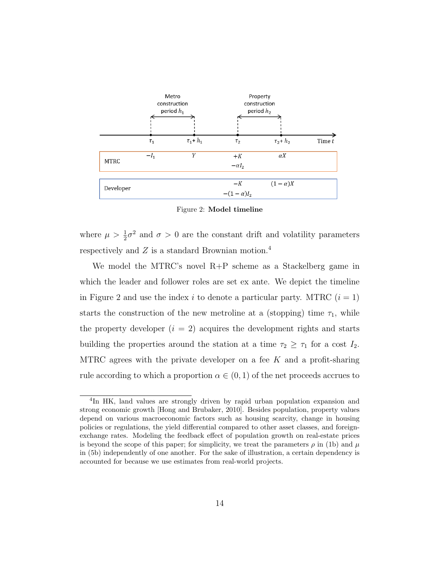

Figure 2: Model timeline

where  $\mu > \frac{1}{2}\sigma^2$  and  $\sigma > 0$  are the constant drift and volatility parameters respectively and  $Z$  is a standard Brownian motion.<sup>4</sup>

We model the MTRC's novel R+P scheme as a Stackelberg game in which the leader and follower roles are set ex ante. We depict the timeline in Figure 2 and use the index i to denote a particular party. MTRC  $(i = 1)$ starts the construction of the new metroline at a (stopping) time  $\tau_1$ , while the property developer  $(i = 2)$  acquires the development rights and starts building the properties around the station at a time  $\tau_2 \geq \tau_1$  for a cost  $I_2$ . MTRC agrees with the private developer on a fee  $K$  and a profit-sharing rule according to which a proportion  $\alpha \in (0,1)$  of the net proceeds accrues to

<sup>&</sup>lt;sup>4</sup>In HK, land values are strongly driven by rapid urban population expansion and strong economic growth [Hong and Brubaker, 2010]. Besides population, property values depend on various macroeconomic factors such as housing scarcity, change in housing policies or regulations, the yield differential compared to other asset classes, and foreignexchange rates. Modeling the feedback effect of population growth on real-estate prices is beyond the scope of this paper; for simplicity, we treat the parameters  $\rho$  in (1b) and  $\mu$ in (5b) independently of one another. For the sake of illustration, a certain dependency is accounted for because we use estimates from real-world projects.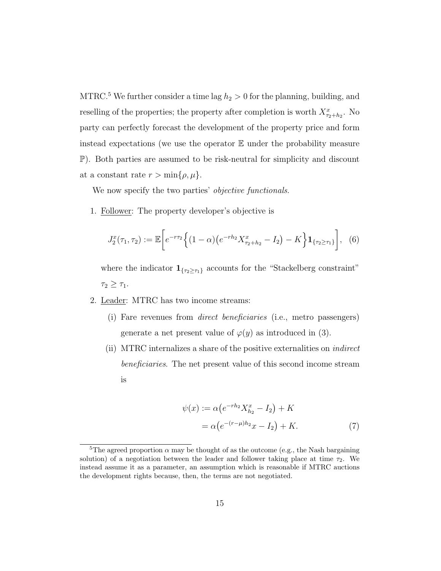MTRC.<sup>5</sup> We further consider a time lag  $h_2 > 0$  for the planning, building, and reselling of the properties; the property after completion is worth  $X_{\tau_2+h_2}^x$ . No party can perfectly forecast the development of the property price and form instead expectations (we use the operator  $E$  under the probability measure P). Both parties are assumed to be risk-neutral for simplicity and discount at a constant rate  $r > \min\{\rho, \mu\}.$ 

We now specify the two parties' *objective functionals*.

1. Follower: The property developer's objective is

$$
J_2^x(\tau_1, \tau_2) := \mathbb{E}\bigg[e^{-r\tau_2}\bigg\{(1-\alpha)\big(e^{-rh_2}X_{\tau_2+h_2}^x - I_2\big) - K\bigg\}\mathbf{1}_{\{\tau_2 \geq \tau_1\}}\bigg], \quad (6)
$$

where the indicator  $\mathbf{1}_{\{\tau_2 \geq \tau_1\}}$  accounts for the "Stackelberg constraint"  $\tau_2 \geq \tau_1$ .

- 2. Leader: MTRC has two income streams:
	- (i) Fare revenues from direct beneficiaries (i.e., metro passengers) generate a net present value of  $\varphi(y)$  as introduced in (3).
	- (ii) MTRC internalizes a share of the positive externalities on indirect beneficiaries. The net present value of this second income stream is

$$
\psi(x) := \alpha \left( e^{-rh_2} X_{h_2}^x - I_2 \right) + K
$$
  
=  $\alpha \left( e^{-(r-\mu)h_2} x - I_2 \right) + K.$  (7)

<sup>&</sup>lt;sup>5</sup>The agreed proportion  $\alpha$  may be thought of as the outcome (e.g., the Nash bargaining solution) of a negotiation between the leader and follower taking place at time  $\tau_2$ . We instead assume it as a parameter, an assumption which is reasonable if MTRC auctions the development rights because, then, the terms are not negotiated.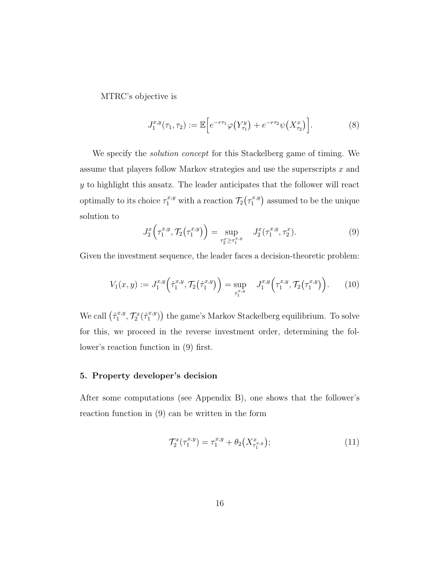MTRC's objective is

$$
J_1^{x,y}(\tau_1, \tau_2) := \mathbb{E}\Big[e^{-r\tau_1}\varphi\big(Y_{\tau_1}^y\big) + e^{-r\tau_2}\psi\big(X_{\tau_2}^x\big)\Big].\tag{8}
$$

We specify the solution concept for this Stackelberg game of timing. We assume that players follow Markov strategies and use the superscripts x and y to highlight this ansatz. The leader anticipates that the follower will react optimally to its choice  $\tau_1^{x,y}$  with a reaction  $\mathcal{T}_2(\tau_1^{x,y})$  $\binom{x,y}{1}$  assumed to be the unique solution to

$$
J_2^x\left(\tau_1^{x,y}, \mathcal{T}_2\left(\tau_1^{x,y}\right)\right) = \sup_{\tau_2^x \ge \tau_1^{x,y}} J_2^x(\tau_1^{x,y}, \tau_2^x). \tag{9}
$$

Given the investment sequence, the leader faces a decision-theoretic problem:

$$
V_1(x,y) := J_1^{x,y} \left( \hat{\tau}_1^{x,y}, \mathcal{T}_2(\hat{\tau}_1^{x,y}) \right) = \sup_{\tau_1^{x,y}} J_1^{x,y} \left( \tau_1^{x,y}, \mathcal{T}_2(\tau_1^{x,y}) \right). \tag{10}
$$

We call  $(\hat{\tau}_1^{x,y})$  $\mathcal{T}^{x,y}_1, \mathcal{T}^{x}_2(\hat{\tau}^{x,y}_1)$  $\binom{x,y}{1}$ ) the game's Markov Stackelberg equilibrium. To solve for this, we proceed in the reverse investment order, determining the follower's reaction function in (9) first.

#### 5. Property developer's decision

After some computations (see Appendix B), one shows that the follower's reaction function in (9) can be written in the form

$$
\mathcal{T}_2^x(\tau_1^{x,y}) = \tau_1^{x,y} + \theta_2(X_{\tau_1^{x,y}}^x); \tag{11}
$$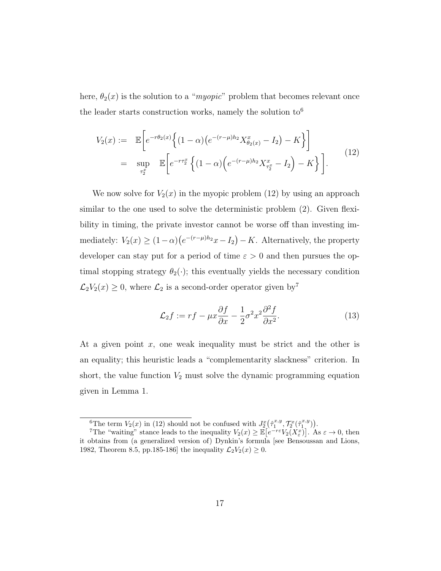here,  $\theta_2(x)$  is the solution to a "*myopic*" problem that becomes relevant once the leader starts construction works, namely the solution  $\text{to}^6$ 

$$
V_2(x) := \mathbb{E}\left[e^{-r\theta_2(x)}\left\{(1-\alpha)\left(e^{-(r-\mu)h_2}X_{\theta_2(x)}^x - I_2\right) - K\right\}\right]
$$
  

$$
= \sup_{\tau_2^x} \mathbb{E}\left[e^{-r\tau_2^x}\left\{(1-\alpha)\left(e^{-(r-\mu)h_2}X_{\tau_2^x}^x - I_2\right) - K\right\}\right].
$$
 (12)

We now solve for  $V_2(x)$  in the myopic problem (12) by using an approach similar to the one used to solve the deterministic problem (2). Given flexibility in timing, the private investor cannot be worse off than investing immediately:  $V_2(x) \ge (1-\alpha)(e^{-(r-\mu)h_2}x - I_2) - K$ . Alternatively, the property developer can stay put for a period of time  $\varepsilon > 0$  and then pursues the optimal stopping strategy  $\theta_2(\cdot)$ ; this eventually yields the necessary condition  $\mathcal{L}_2V_2(x) \geq 0$ , where  $\mathcal{L}_2$  is a second-order operator given by<sup>7</sup>

$$
\mathcal{L}_2 f := rf - \mu x \frac{\partial f}{\partial x} - \frac{1}{2} \sigma^2 x^2 \frac{\partial^2 f}{\partial x^2}.
$$
 (13)

At a given point  $x$ , one weak inequality must be strict and the other is an equality; this heuristic leads a "complementarity slackness" criterion. In short, the value function  $V_2$  must solve the dynamic programming equation given in Lemma 1.

<sup>&</sup>lt;sup>6</sup>The term  $V_2(x)$  in (12) should not be confused with  $J_2^x(\hat{\tau}_1^{x,y}, \mathcal{T}_2^x(\hat{\tau}_1^{x,y}))$ .

<sup>&</sup>lt;sup>7</sup>The "waiting" stance leads to the inequality  $V_2(x) \geq \mathbb{E}\left[e^{-r\varepsilon}V_2(X_{\varepsilon}^x)\right]$ . As  $\varepsilon \to 0$ , then it obtains from (a generalized version of) Dynkin's formula [see Bensoussan and Lions, 1982, Theorem 8.5, pp.185-186] the inequality  $\mathcal{L}_2V_2(x) \ge 0$ .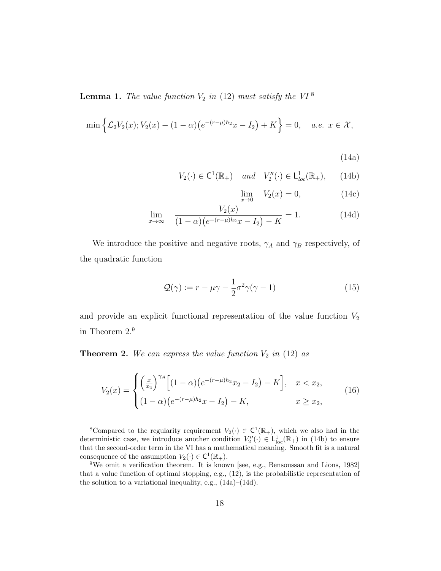**Lemma 1.** The value function  $V_2$  in (12) must satisfy the VI<sup>8</sup>

$$
\min \left\{ \mathcal{L}_2 V_2(x); V_2(x) - (1 - \alpha) \left( e^{-(r - \mu)h_2} x - I_2 \right) + K \right\} = 0, \quad a.e. \ x \in \mathcal{X},
$$

(14a)

$$
V_2(\cdot) \in \mathsf{C}^1(\mathbb{R}_+) \quad \text{and} \quad V_2''(\cdot) \in \mathsf{L}_{\text{loc}}^1(\mathbb{R}_+), \qquad (14b)
$$

$$
\lim_{x \to 0} V_2(x) = 0,
$$
\n(14c)

$$
\lim_{x \to \infty} \quad \frac{V_2(x)}{(1 - \alpha)(e^{-(r - \mu)h_2}x - I_2) - K} = 1.
$$
\n(14d)

We introduce the positive and negative roots,  $\gamma_A$  and  $\gamma_B$  respectively, of the quadratic function

$$
\mathcal{Q}(\gamma) := r - \mu \gamma - \frac{1}{2} \sigma^2 \gamma (\gamma - 1)
$$
\n(15)

and provide an explicit functional representation of the value function  $V_2$ in Theorem 2.<sup>9</sup>

**Theorem 2.** We can express the value function  $V_2$  in (12) as

$$
V_2(x) = \begin{cases} \left(\frac{x}{x_2}\right)^{\gamma A} \left[ (1-\alpha)\left(e^{-(r-\mu)h_2}x_2 - I_2\right) - K \right], & x < x_2, \\ (1-\alpha)\left(e^{-(r-\mu)h_2}x - I_2\right) - K, & x \ge x_2, \end{cases}
$$
(16)

<sup>&</sup>lt;sup>8</sup>Compared to the regularity requirement  $V_2(\cdot) \in C^1(\mathbb{R}_+)$ , which we also had in the deterministic case, we introduce another condition  $V''_2(\cdot) \in L^1_{loc}(\mathbb{R}_+)$  in (14b) to ensure that the second-order term in the VI has a mathematical meaning. Smooth fit is a natural consequence of the assumption  $V_2(\cdot) \in C^1(\mathbb{R}_+).$ 

<sup>&</sup>lt;sup>9</sup>We omit a verification theorem. It is known [see, e.g., Bensoussan and Lions, 1982] that a value function of optimal stopping, e.g., (12), is the probabilistic representation of the solution to a variational inequality, e.g.,  $(14a)$ – $(14d)$ .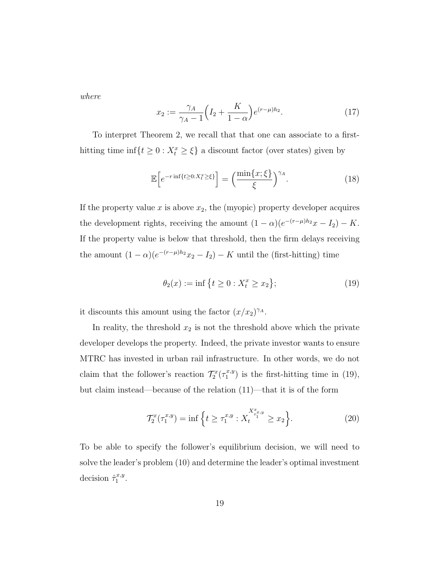where

$$
x_2 := \frac{\gamma_A}{\gamma_A - 1} \left( I_2 + \frac{K}{1 - \alpha} \right) e^{(r - \mu) h_2}.
$$
 (17)

To interpret Theorem 2, we recall that that one can associate to a firsthitting time  $\inf\{t \geq 0 : X_t^x \geq \xi\}$  a discount factor (over states) given by

$$
\mathbb{E}\left[e^{-r\inf\{t\geq 0:X_t^x\geq \xi\}}\right] = \left(\frac{\min\{x;\xi\}}{\xi}\right)^{\gamma_A}.\tag{18}
$$

If the property value  $x$  is above  $x_2$ , the (myopic) property developer acquires the development rights, receiving the amount  $(1 - \alpha)(e^{-(r-\mu)h_2}x - I_2) - K$ . If the property value is below that threshold, then the firm delays receiving the amount  $(1 - \alpha)(e^{-(r-\mu)h_2}x_2 - I_2) - K$  until the (first-hitting) time

$$
\theta_2(x) := \inf \left\{ t \ge 0 : X_t^x \ge x_2 \right\};\tag{19}
$$

it discounts this amount using the factor  $(x/x_2)^{\gamma_A}$ .

In reality, the threshold  $x_2$  is not the threshold above which the private developer develops the property. Indeed, the private investor wants to ensure MTRC has invested in urban rail infrastructure. In other words, we do not claim that the follower's reaction  $\mathcal{T}_2^x(\tau_1^{x,y})$  $\binom{x,y}{1}$  is the first-hitting time in (19), but claim instead—because of the relation (11)—that it is of the form

$$
\mathcal{T}_2^x(\tau_1^{x,y}) = \inf \left\{ t \ge \tau_1^{x,y} : X_t^{X_{\tau_1^{x,y}}} \ge x_2 \right\}.
$$
 (20)

To be able to specify the follower's equilibrium decision, we will need to solve the leader's problem (10) and determine the leader's optimal investment decision  $\hat{\tau}_1^{x,y}$  $\frac{x,y}{1}$ .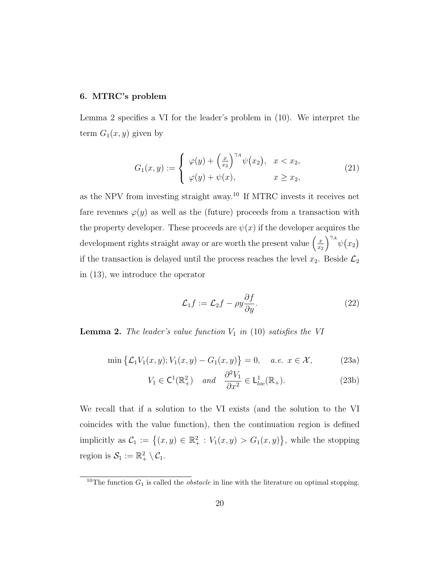#### 6. MTRC's problem

Lemma 2 specifies a VI for the leader's problem in (10). We interpret the term  $G_1(x, y)$  given by

$$
G_1(x,y) := \begin{cases} \varphi(y) + \left(\frac{x}{x_2}\right)^{\gamma A} \psi(x_2), & x < x_2, \\ \varphi(y) + \psi(x), & x \ge x_2, \end{cases}
$$
(21)

as the NPV from investing straight away.<sup>10</sup> If MTRC invests it receives net fare revenues  $\varphi(y)$  as well as the (future) proceeds from a transaction with the property developer. These proceeds are  $\psi(x)$  if the developer acquires the development rights straight away or are worth the present value  $\left(\frac{x}{x}\right)$  $\overline{x_2}$  $\int^{\gamma_A} \psi(x_2)$ if the transaction is delayed until the process reaches the level  $x_2$ . Beside  $\mathcal{L}_2$ in (13), we introduce the operator

$$
\mathcal{L}_1 f := \mathcal{L}_2 f - \rho y \frac{\partial f}{\partial y}.
$$
\n(22)

**Lemma 2.** The leader's value function  $V_1$  in (10) satisfies the VI

$$
\min\left\{\mathcal{L}_1 V_1(x,y); V_1(x,y) - G_1(x,y)\right\} = 0, \quad a.e. \ x \in \mathcal{X},\tag{23a}
$$

$$
V_1 \in \mathsf{C}^1(\mathbb{R}_+^2) \quad \text{and} \quad \frac{\partial^2 V_1}{\partial x^2} \in \mathsf{L}_{loc}^1(\mathbb{R}_+). \tag{23b}
$$

We recall that if a solution to the VI exists (and the solution to the VI coincides with the value function), then the continuation region is defined implicitly as  $C_1 := \{(x, y) \in \mathbb{R}_+^2 : V_1(x, y) > G_1(x, y)\}\$ , while the stopping region is  $S_1 := \mathbb{R}_+^2 \setminus C_1$ .

<sup>&</sup>lt;sup>10</sup>The function  $G_1$  is called the *obstacle* in line with the literature on optimal stopping.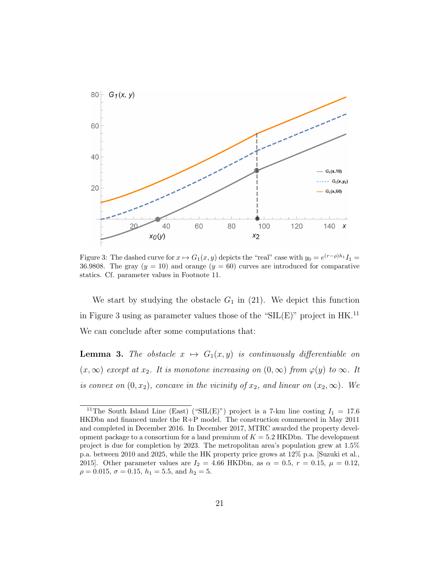

Figure 3: The dashed curve for  $x \mapsto G_1(x, y)$  depicts the "real" case with  $y_0 = e^{(r-\rho)h_1}I_1 =$ 36.9808. The gray  $(y = 10)$  and orange  $(y = 60)$  curves are introduced for comparative statics. Cf. parameter values in Footnote 11.

We start by studying the obstacle  $G_1$  in (21). We depict this function in Figure 3 using as parameter values those of the " $SL(E)$ " project in HK.<sup>11</sup> We can conclude after some computations that:

**Lemma 3.** The obstacle  $x \mapsto G_1(x, y)$  is continuously differentiable on  $(x, \infty)$  except at  $x_2$ . It is monotone increasing on  $(0, \infty)$  from  $\varphi(y)$  to  $\infty$ . It is convex on  $(0, x_2)$ , concave in the vicinity of  $x_2$ , and linear on  $(x_2, \infty)$ . We

<sup>&</sup>lt;sup>11</sup>The South Island Line (East) ("SIL(E)") project is a 7-km line costing  $I_1 = 17.6$ HKDbn and financed under the R+P model. The construction commenced in May 2011 and completed in December 2016. In December 2017, MTRC awarded the property development package to a consortium for a land premium of  $K = 5.2$  HKDbn. The development project is due for completion by 2023. The metropolitan area's population grew at 1.5% p.a. between 2010 and 2025, while the HK property price grows at 12% p.a. [Suzuki et al., 2015]. Other parameter values are  $I_2 = 4.66$  HKDbn, as  $\alpha = 0.5$ ,  $r = 0.15$ ,  $\mu = 0.12$ ,  $\rho = 0.015, \sigma = 0.15, h_1 = 5.5, \text{ and } h_2 = 5.$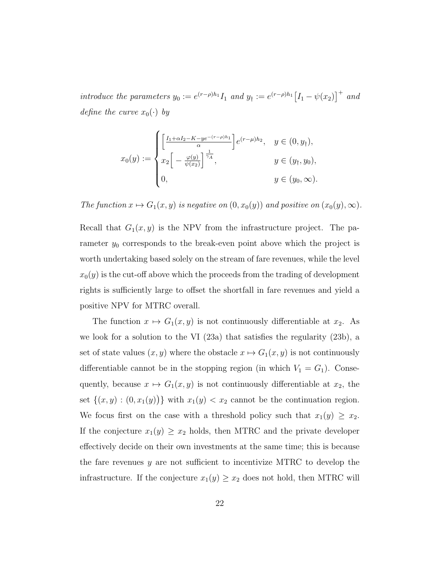introduce the parameters  $y_0 := e^{(r-\rho)h_1} I_1$  and  $y_\dagger := e^{(r-\rho)h_1} \big[I_1 - \psi(x_2)\big]^\dagger$  and define the curve  $x_0(\cdot)$  by

$$
x_0(y) := \begin{cases} \left[ \frac{I_1 + \alpha I_2 - K - ye^{-(r-\rho)h_1}}{\alpha} \right] e^{(r-\mu)h_2}, & y \in (0, y_\dagger), \\ x_2 \left[ -\frac{\varphi(y)}{\psi(x_2)} \right]^{\frac{1}{\gamma_A}}, & y \in (y_\dagger, y_0), \\ 0, & y \in (y_0, \infty). \end{cases}
$$

The function  $x \mapsto G_1(x, y)$  is negative on  $(0, x_0(y))$  and positive on  $(x_0(y), \infty)$ .

Recall that  $G_1(x, y)$  is the NPV from the infrastructure project. The parameter  $y_0$  corresponds to the break-even point above which the project is worth undertaking based solely on the stream of fare revenues, while the level  $x_0(y)$  is the cut-off above which the proceeds from the trading of development rights is sufficiently large to offset the shortfall in fare revenues and yield a positive NPV for MTRC overall.

The function  $x \mapsto G_1(x, y)$  is not continuously differentiable at  $x_2$ . As we look for a solution to the VI (23a) that satisfies the regularity (23b), a set of state values  $(x, y)$  where the obstacle  $x \mapsto G_1(x, y)$  is not continuously differentiable cannot be in the stopping region (in which  $V_1 = G_1$ ). Consequently, because  $x \mapsto G_1(x, y)$  is not continuously differentiable at  $x_2$ , the set  $\{(x, y) : (0, x_1(y))\}$  with  $x_1(y) < x_2$  cannot be the continuation region. We focus first on the case with a threshold policy such that  $x_1(y) \ge x_2$ . If the conjecture  $x_1(y) \ge x_2$  holds, then MTRC and the private developer effectively decide on their own investments at the same time; this is because the fare revenues y are not sufficient to incentivize MTRC to develop the infrastructure. If the conjecture  $x_1(y) \ge x_2$  does not hold, then MTRC will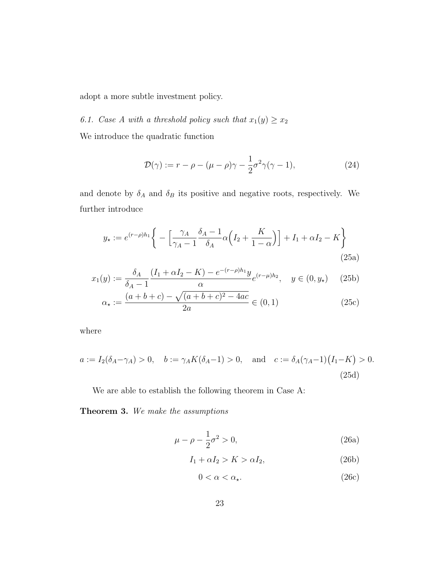adopt a more subtle investment policy.

6.1. Case A with a threshold policy such that  $x_1(y) \ge x_2$ 

We introduce the quadratic function

$$
\mathcal{D}(\gamma) := r - \rho - (\mu - \rho)\gamma - \frac{1}{2}\sigma^2\gamma(\gamma - 1),\tag{24}
$$

and denote by  $\delta_A$  and  $\delta_B$  its positive and negative roots, respectively. We further introduce

$$
y_{\star} := e^{(r-\rho)h_1} \bigg\{ - \bigg[\frac{\gamma_A}{\gamma_A - 1} \frac{\delta_A - 1}{\delta_A} \alpha \bigg(I_2 + \frac{K}{1-\alpha}\bigg) \bigg] + I_1 + \alpha I_2 - K \bigg\}
$$
(25a)

$$
x_1(y) := \frac{\delta_A}{\delta_A - 1} \frac{(I_1 + \alpha I_2 - K) - e^{-(r - \rho)h_1} y}{\alpha} e^{(r - \mu)h_2}, \quad y \in (0, y_\star) \quad (25b)
$$

$$
\alpha_{\star} := \frac{(a+b+c) - \sqrt{(a+b+c)^2 - 4ac}}{2a} \in (0,1)
$$
\n(25c)

where

$$
a := I_2(\delta_A - \gamma_A) > 0, \quad b := \gamma_A K(\delta_A - 1) > 0, \quad \text{and} \quad c := \delta_A(\gamma_A - 1)(I_1 - K) > 0.
$$
\n(25d)

We are able to establish the following theorem in Case A:

Theorem 3. We make the assumptions

$$
\mu - \rho - \frac{1}{2}\sigma^2 > 0,\tag{26a}
$$

$$
I_1 + \alpha I_2 > K > \alpha I_2,\tag{26b}
$$

$$
0 < \alpha < \alpha_{\star}.\tag{26c}
$$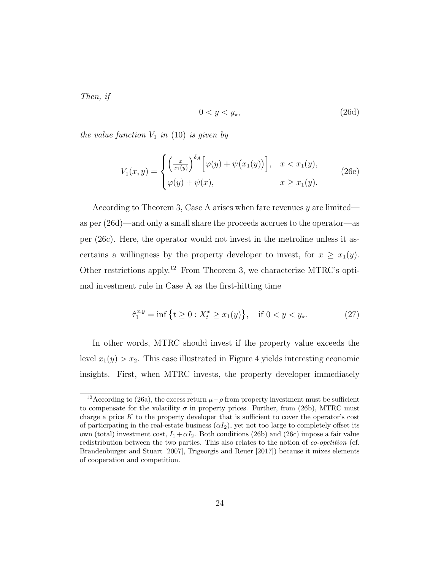Then, if

$$
0 < y < y_\star,\tag{26d}
$$

the value function  $V_1$  in (10) is given by

$$
V_1(x,y) = \begin{cases} \left(\frac{x}{x_1(y)}\right)^{\delta_A} \left[\varphi(y) + \psi(x_1(y))\right], & x < x_1(y), \\ \varphi(y) + \psi(x), & x \ge x_1(y). \end{cases}
$$
(26e)

According to Theorem 3, Case A arises when fare revenues  $y$  are limited as per (26d)—and only a small share the proceeds accrues to the operator—as per (26c). Here, the operator would not invest in the metroline unless it ascertains a willingness by the property developer to invest, for  $x \geq x_1(y)$ . Other restrictions apply.<sup>12</sup> From Theorem 3, we characterize MTRC's optimal investment rule in Case A as the first-hitting time

$$
\hat{\tau}_1^{x,y} = \inf \left\{ t \ge 0 : X_t^x \ge x_1(y) \right\}, \quad \text{if } 0 < y < y_\star. \tag{27}
$$

In other words, MTRC should invest if the property value exceeds the level  $x_1(y) > x_2$ . This case illustrated in Figure 4 yields interesting economic insights. First, when MTRC invests, the property developer immediately

<sup>&</sup>lt;sup>12</sup>According to (26a), the excess return  $\mu - \rho$  from property investment must be sufficient to compensate for the volatility  $\sigma$  in property prices. Further, from (26b), MTRC must charge a price  $K$  to the property developer that is sufficient to cover the operator's cost of participating in the real-estate business  $(\alpha I_2)$ , yet not too large to completely offset its own (total) investment cost,  $I_1 + \alpha I_2$ . Both conditions (26b) and (26c) impose a fair value redistribution between the two parties. This also relates to the notion of *co-opetition* (cf. Brandenburger and Stuart [2007], Trigeorgis and Reuer [2017]) because it mixes elements of cooperation and competition.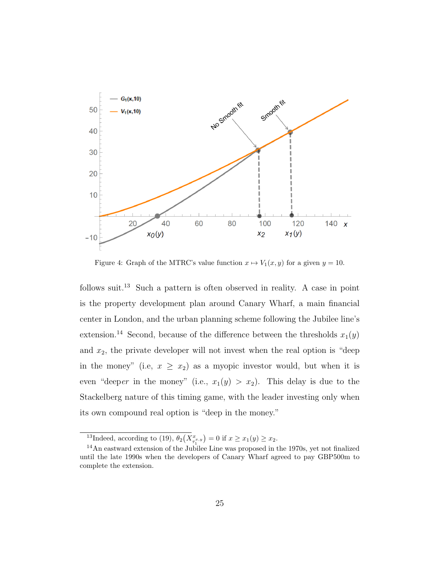

Figure 4: Graph of the MTRC's value function  $x \mapsto V_1(x, y)$  for a given  $y = 10$ .

follows suit.<sup>13</sup> Such a pattern is often observed in reality. A case in point is the property development plan around Canary Wharf, a main financial center in London, and the urban planning scheme following the Jubilee line's extension.<sup>14</sup> Second, because of the difference between the thresholds  $x_1(y)$ and  $x_2$ , the private developer will not invest when the real option is "deep in the money" (i.e,  $x \geq x_2$ ) as a myopic investor would, but when it is even "deeper in the money" (i.e.,  $x_1(y) > x_2$ ). This delay is due to the Stackelberg nature of this timing game, with the leader investing only when its own compound real option is "deep in the money."

<sup>&</sup>lt;sup>13</sup>Indeed, according to (19),  $\theta_2(X_{\tau_1^{x,y}}^x) = 0$  if  $x \ge x_1(y) \ge x_2$ .

<sup>14</sup>An eastward extension of the Jubilee Line was proposed in the 1970s, yet not finalized until the late 1990s when the developers of Canary Wharf agreed to pay GBP500m to complete the extension.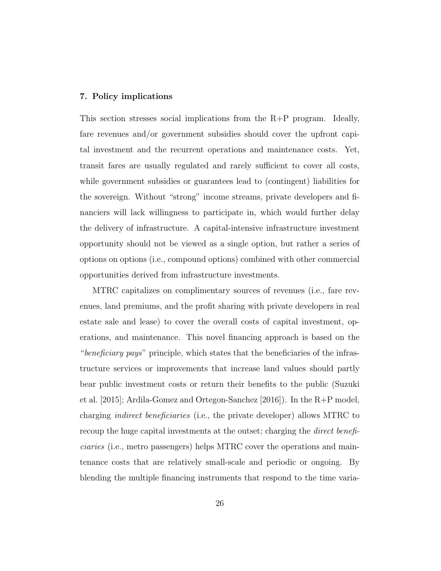#### 7. Policy implications

This section stresses social implications from the R+P program. Ideally, fare revenues and/or government subsidies should cover the upfront capital investment and the recurrent operations and maintenance costs. Yet, transit fares are usually regulated and rarely sufficient to cover all costs, while government subsidies or guarantees lead to (contingent) liabilities for the sovereign. Without "strong" income streams, private developers and financiers will lack willingness to participate in, which would further delay the delivery of infrastructure. A capital-intensive infrastructure investment opportunity should not be viewed as a single option, but rather a series of options on options (i.e., compound options) combined with other commercial opportunities derived from infrastructure investments.

MTRC capitalizes on complimentary sources of revenues (i.e., fare revenues, land premiums, and the profit sharing with private developers in real estate sale and lease) to cover the overall costs of capital investment, operations, and maintenance. This novel financing approach is based on the "beneficiary pays" principle, which states that the beneficiaries of the infrastructure services or improvements that increase land values should partly bear public investment costs or return their benefits to the public (Suzuki et al. [2015]; Ardila-Gomez and Ortegon-Sanchez [2016]). In the R+P model, charging indirect beneficiaries (i.e., the private developer) allows MTRC to recoup the huge capital investments at the outset; charging the *direct benefi*ciaries (i.e., metro passengers) helps MTRC cover the operations and maintenance costs that are relatively small-scale and periodic or ongoing. By blending the multiple financing instruments that respond to the time varia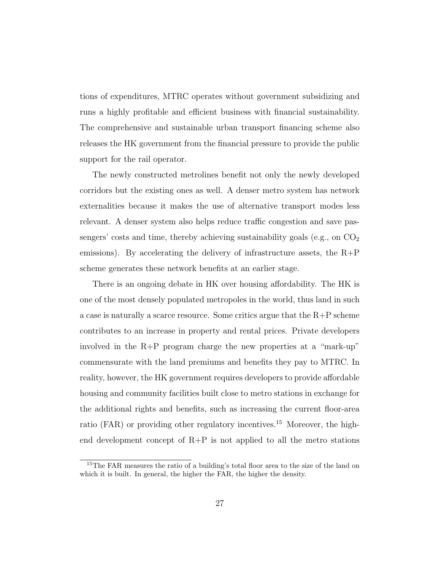tions of expenditures, MTRC operates without government subsidizing and runs a highly profitable and efficient business with financial sustainability. The comprehensive and sustainable urban transport financing scheme also releases the HK government from the financial pressure to provide the public support for the rail operator.

The newly constructed metrolines benefit not only the newly developed corridors but the existing ones as well. A denser metro system has network externalities because it makes the use of alternative transport modes less relevant. A denser system also helps reduce traffic congestion and save passengers' costs and time, thereby achieving sustainability goals (e.g., on  $CO<sub>2</sub>$ ) emissions). By accelerating the delivery of infrastructure assets, the  $R+P$ scheme generates these network benefits at an earlier stage.

There is an ongoing debate in HK over housing affordability. The HK is one of the most densely populated metropoles in the world, thus land in such a case is naturally a scarce resource. Some critics argue that the  $R+P$  scheme contributes to an increase in property and rental prices. Private developers involved in the R+P program charge the new properties at a "mark-up" commensurate with the land premiums and benefits they pay to MTRC. In reality, however, the HK government requires developers to provide affordable housing and community facilities built close to metro stations in exchange for the additional rights and benefits, such as increasing the current floor-area ratio (FAR) or providing other regulatory incentives.<sup>15</sup> Moreover, the highend development concept of  $R+P$  is not applied to all the metro stations

<sup>&</sup>lt;sup>15</sup>The FAR measures the ratio of a building's total floor area to the size of the land on which it is built. In general, the higher the FAR, the higher the density.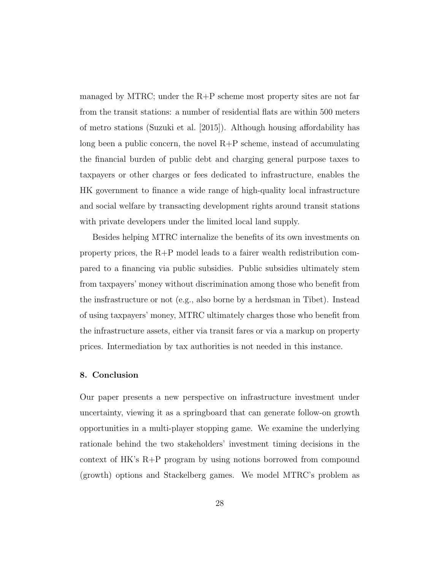managed by MTRC; under the  $R+P$  scheme most property sites are not far from the transit stations: a number of residential flats are within 500 meters of metro stations (Suzuki et al. [2015]). Although housing affordability has long been a public concern, the novel  $R+P$  scheme, instead of accumulating the financial burden of public debt and charging general purpose taxes to taxpayers or other charges or fees dedicated to infrastructure, enables the HK government to finance a wide range of high-quality local infrastructure and social welfare by transacting development rights around transit stations with private developers under the limited local land supply.

Besides helping MTRC internalize the benefits of its own investments on property prices, the R+P model leads to a fairer wealth redistribution compared to a financing via public subsidies. Public subsidies ultimately stem from taxpayers' money without discrimination among those who benefit from the insfrastructure or not (e.g., also borne by a herdsman in Tibet). Instead of using taxpayers' money, MTRC ultimately charges those who benefit from the infrastructure assets, either via transit fares or via a markup on property prices. Intermediation by tax authorities is not needed in this instance.

#### 8. Conclusion

Our paper presents a new perspective on infrastructure investment under uncertainty, viewing it as a springboard that can generate follow-on growth opportunities in a multi-player stopping game. We examine the underlying rationale behind the two stakeholders' investment timing decisions in the context of HK's R+P program by using notions borrowed from compound (growth) options and Stackelberg games. We model MTRC's problem as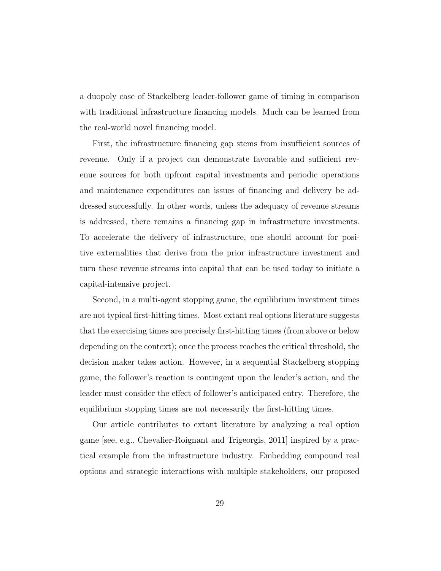a duopoly case of Stackelberg leader-follower game of timing in comparison with traditional infrastructure financing models. Much can be learned from the real-world novel financing model.

First, the infrastructure financing gap stems from insufficient sources of revenue. Only if a project can demonstrate favorable and sufficient revenue sources for both upfront capital investments and periodic operations and maintenance expenditures can issues of financing and delivery be addressed successfully. In other words, unless the adequacy of revenue streams is addressed, there remains a financing gap in infrastructure investments. To accelerate the delivery of infrastructure, one should account for positive externalities that derive from the prior infrastructure investment and turn these revenue streams into capital that can be used today to initiate a capital-intensive project.

Second, in a multi-agent stopping game, the equilibrium investment times are not typical first-hitting times. Most extant real options literature suggests that the exercising times are precisely first-hitting times (from above or below depending on the context); once the process reaches the critical threshold, the decision maker takes action. However, in a sequential Stackelberg stopping game, the follower's reaction is contingent upon the leader's action, and the leader must consider the effect of follower's anticipated entry. Therefore, the equilibrium stopping times are not necessarily the first-hitting times.

Our article contributes to extant literature by analyzing a real option game [see, e.g., Chevalier-Roignant and Trigeorgis, 2011] inspired by a practical example from the infrastructure industry. Embedding compound real options and strategic interactions with multiple stakeholders, our proposed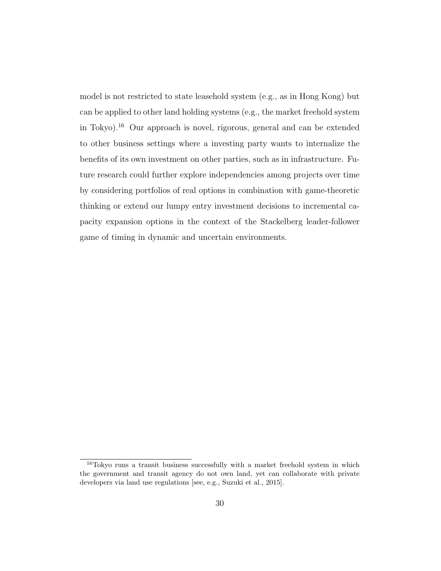model is not restricted to state leasehold system (e.g., as in Hong Kong) but can be applied to other land holding systems (e.g., the market freehold system in Tokyo).<sup>16</sup> Our approach is novel, rigorous, general and can be extended to other business settings where a investing party wants to internalize the benefits of its own investment on other parties, such as in infrastructure. Future research could further explore independencies among projects over time by considering portfolios of real options in combination with game-theoretic thinking or extend our lumpy entry investment decisions to incremental capacity expansion options in the context of the Stackelberg leader-follower game of timing in dynamic and uncertain environments.

 $16$ Tokyo runs a transit business successfully with a market freehold system in which the government and transit agency do not own land, yet can collaborate with private developers via land use regulations [see, e.g., Suzuki et al., 2015].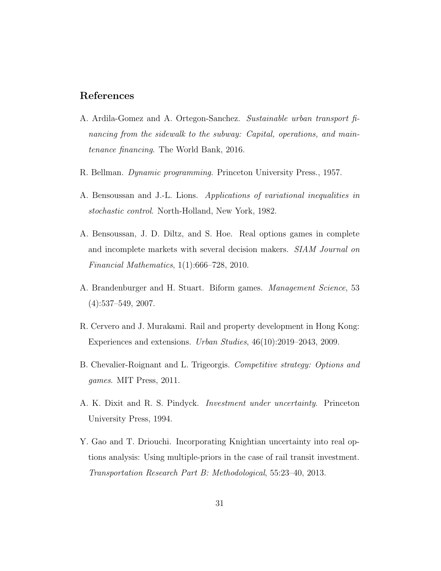### References

- A. Ardila-Gomez and A. Ortegon-Sanchez. Sustainable urban transport financing from the sidewalk to the subway: Capital, operations, and maintenance financing. The World Bank, 2016.
- R. Bellman. Dynamic programming. Princeton University Press., 1957.
- A. Bensoussan and J.-L. Lions. Applications of variational inequalities in stochastic control. North-Holland, New York, 1982.
- A. Bensoussan, J. D. Diltz, and S. Hoe. Real options games in complete and incomplete markets with several decision makers. SIAM Journal on Financial Mathematics, 1(1):666–728, 2010.
- A. Brandenburger and H. Stuart. Biform games. Management Science, 53  $(4):537-549, 2007.$
- R. Cervero and J. Murakami. Rail and property development in Hong Kong: Experiences and extensions. Urban Studies, 46(10):2019–2043, 2009.
- B. Chevalier-Roignant and L. Trigeorgis. Competitive strategy: Options and games. MIT Press, 2011.
- A. K. Dixit and R. S. Pindyck. Investment under uncertainty. Princeton University Press, 1994.
- Y. Gao and T. Driouchi. Incorporating Knightian uncertainty into real options analysis: Using multiple-priors in the case of rail transit investment. Transportation Research Part B: Methodological, 55:23–40, 2013.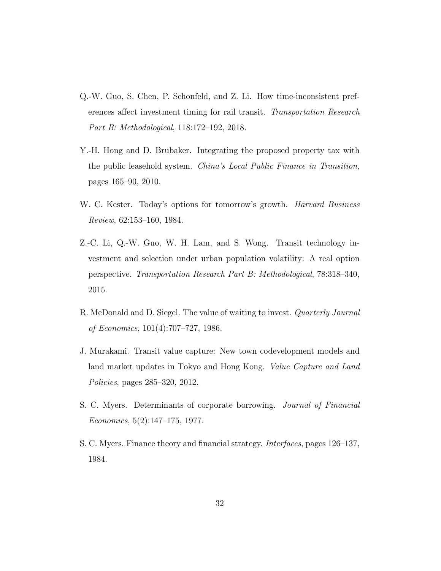- Q.-W. Guo, S. Chen, P. Schonfeld, and Z. Li. How time-inconsistent preferences affect investment timing for rail transit. Transportation Research Part B: Methodological, 118:172–192, 2018.
- Y.-H. Hong and D. Brubaker. Integrating the proposed property tax with the public leasehold system. China's Local Public Finance in Transition, pages 165–90, 2010.
- W. C. Kester. Today's options for tomorrow's growth. *Harvard Business* Review, 62:153–160, 1984.
- Z.-C. Li, Q.-W. Guo, W. H. Lam, and S. Wong. Transit technology investment and selection under urban population volatility: A real option perspective. Transportation Research Part B: Methodological, 78:318–340, 2015.
- R. McDonald and D. Siegel. The value of waiting to invest. Quarterly Journal of Economics, 101(4):707–727, 1986.
- J. Murakami. Transit value capture: New town codevelopment models and land market updates in Tokyo and Hong Kong. Value Capture and Land Policies, pages 285–320, 2012.
- S. C. Myers. Determinants of corporate borrowing. Journal of Financial Economics, 5(2):147–175, 1977.
- S. C. Myers. Finance theory and financial strategy. Interfaces, pages 126–137, 1984.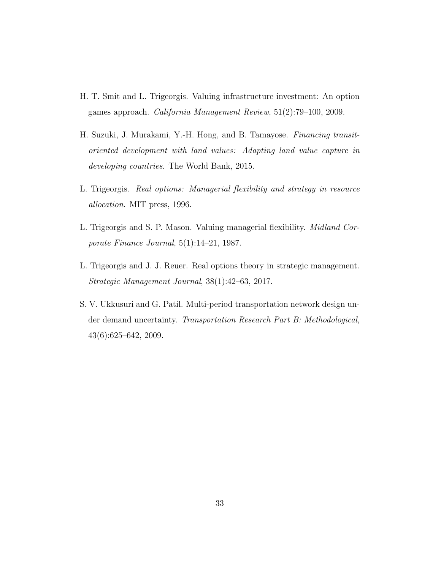- H. T. Smit and L. Trigeorgis. Valuing infrastructure investment: An option games approach. California Management Review, 51(2):79–100, 2009.
- H. Suzuki, J. Murakami, Y.-H. Hong, and B. Tamayose. Financing transitoriented development with land values: Adapting land value capture in developing countries. The World Bank, 2015.
- L. Trigeorgis. Real options: Managerial flexibility and strategy in resource allocation. MIT press, 1996.
- L. Trigeorgis and S. P. Mason. Valuing managerial flexibility. Midland Corporate Finance Journal, 5(1):14–21, 1987.
- L. Trigeorgis and J. J. Reuer. Real options theory in strategic management. Strategic Management Journal, 38(1):42–63, 2017.
- S. V. Ukkusuri and G. Patil. Multi-period transportation network design under demand uncertainty. Transportation Research Part B: Methodological, 43(6):625–642, 2009.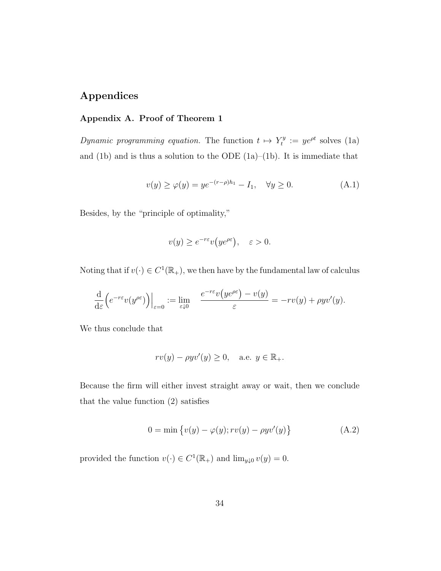### Appendices

#### Appendix A. Proof of Theorem 1

Dynamic programming equation. The function  $t \mapsto Y_t^y$  $t_t^{ty} := ye^{\rho t}$  solves (1a) and  $(1b)$  and is thus a solution to the ODE  $(1a)–(1b)$ . It is immediate that

$$
v(y) \ge \varphi(y) = y e^{-(r-\rho)h_1} - I_1, \quad \forall y \ge 0.
$$
 (A.1)

Besides, by the "principle of optimality,"

$$
v(y) \ge e^{-r\varepsilon} v(y e^{\rho \varepsilon}), \quad \varepsilon > 0.
$$

Noting that if  $v(\cdot) \in C^1(\mathbb{R}_+)$ , we then have by the fundamental law of calculus

$$
\frac{\mathrm{d}}{\mathrm{d}\varepsilon}\Big(e^{-r\varepsilon}v(y^{\rho\varepsilon})\Big)\Big|_{\varepsilon=0}:=\lim_{\varepsilon\downarrow 0}\quad \frac{e^{-r\varepsilon}v\big(y e^{\rho\varepsilon}\big)-v(y)}{\varepsilon}=-rv(y)+\rho yv'(y).
$$

We thus conclude that

$$
rv(y) - \rho yv'(y) \ge 0
$$
, a.e.  $y \in \mathbb{R}_+$ .

Because the firm will either invest straight away or wait, then we conclude that the value function (2) satisfies

$$
0 = \min \{ v(y) - \varphi(y); rv(y) - \rho yv'(y) \}
$$
 (A.2)

provided the function  $v(\cdot) \in C^1(\mathbb{R}_+)$  and  $\lim_{y \downarrow 0} v(y) = 0$ .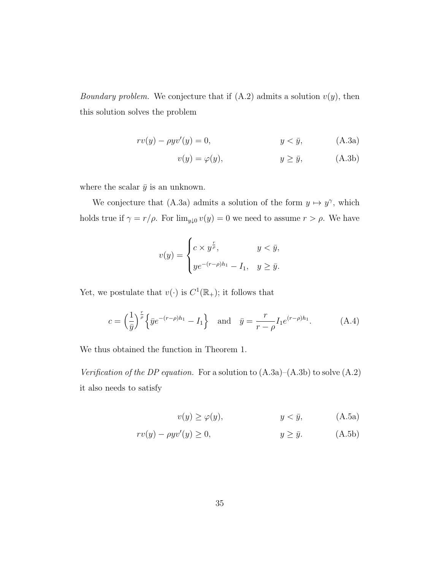Boundary problem. We conjecture that if  $(A.2)$  admits a solution  $v(y)$ , then this solution solves the problem

$$
rv(y) - \rho y v'(y) = 0, \qquad y < \bar{y}, \qquad \text{(A.3a)}
$$

$$
v(y) = \varphi(y), \qquad \qquad y \ge \bar{y}, \qquad \qquad \text{(A.3b)}
$$

where the scalar  $\bar{y}$  is an unknown.

We conjecture that (A.3a) admits a solution of the form  $y \mapsto y^{\gamma}$ , which holds true if  $\gamma = r/\rho$ . For  $\lim_{y\downarrow 0} v(y) = 0$  we need to assume  $r > \rho$ . We have

$$
v(y) = \begin{cases} c \times y^{\frac{r}{\rho}}, & y < \bar{y}, \\ ye^{-(r-\rho)h_1} - I_1, & y \ge \bar{y}. \end{cases}
$$

Yet, we postulate that  $v(\cdot)$  is  $C^1(\mathbb{R}_+)$ ; it follows that

$$
c = \left(\frac{1}{\bar{y}}\right)^{\frac{r}{\rho}} \left\{ \bar{y}e^{-(r-\rho)h_1} - I_1 \right\} \quad \text{and} \quad \bar{y} = \frac{r}{r-\rho} I_1 e^{(r-\rho)h_1}.
$$
 (A.4)

We thus obtained the function in Theorem 1.

Verification of the DP equation. For a solution to  $(A.3a)$ – $(A.3b)$  to solve  $(A.2)$ it also needs to satisfy

$$
v(y) \ge \varphi(y), \qquad \qquad y < \bar{y}, \tag{A.5a}
$$

$$
rv(y) - \rho y v'(y) \ge 0, \qquad y \ge \bar{y}.
$$
 (A.5b)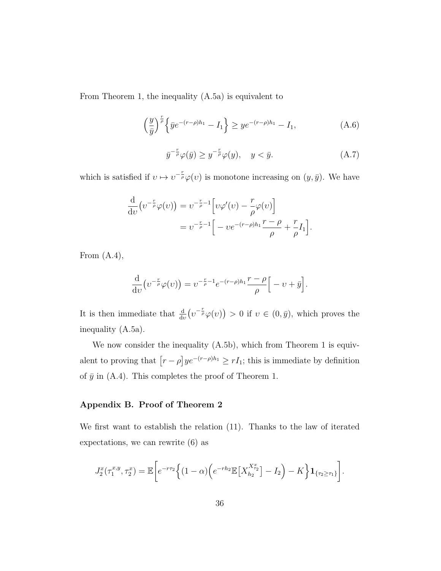From Theorem 1, the inequality (A.5a) is equivalent to

$$
\left(\frac{y}{\bar{y}}\right)^{\frac{r}{\rho}} \left\{ \bar{y}e^{-(r-\rho)h_1} - I_1 \right\} \ge y e^{-(r-\rho)h_1} - I_1,\tag{A.6}
$$

$$
\bar{y}^{-\frac{r}{\rho}}\varphi(\bar{y}) \ge y^{-\frac{r}{\rho}}\varphi(y), \quad y < \bar{y}.\tag{A.7}
$$

which is satisfied if  $v \mapsto v^{-\frac{r}{\rho}}\varphi(v)$  is monotone increasing on  $(y, \bar{y})$ . We have

$$
\frac{\mathrm{d}}{\mathrm{d}v} \left( v^{-\frac{r}{\rho}} \varphi(v) \right) = v^{-\frac{r}{\rho}-1} \left[ v \varphi'(v) - \frac{r}{\rho} \varphi(v) \right] \n= v^{-\frac{r}{\rho}-1} \left[ -ve^{-(r-\rho)h_1} \frac{r-\rho}{\rho} + \frac{r}{\rho} I_1 \right].
$$

From  $(A.4)$ ,

$$
\frac{\mathrm{d}}{\mathrm{d}v} \big( v^{-\frac{r}{\rho}} \varphi(v) \big) = v^{-\frac{r}{\rho} - 1} e^{-(r-\rho)h_1} \frac{r-\rho}{\rho} \Big[ -v + \bar{y} \Big].
$$

It is then immediate that  $\frac{d}{dv}(v^{-\frac{r}{\rho}}\varphi(v)) > 0$  if  $v \in (0,\bar{y})$ , which proves the inequality (A.5a).

We now consider the inequality  $(A.5b)$ , which from Theorem 1 is equivalent to proving that  $\left[r - \rho\right]ye^{-(r-\rho)h_1} \geq rI_1$ ; this is immediate by definition of  $\bar{y}$  in (A.4). This completes the proof of Theorem 1.

#### Appendix B. Proof of Theorem 2

We first want to establish the relation (11). Thanks to the law of iterated expectations, we can rewrite (6) as

$$
J_2^x(\tau_1^{x,y}, \tau_2^x) = \mathbb{E}\bigg[e^{-r\tau_2}\Big\{(1-\alpha)\Big(e^{-r h_2} \mathbb{E}\big[X_{h_2}^{X_{\tau_2}^x}\big] - I_2\Big) - K\bigg\} \mathbf{1}_{\{\tau_2 \geq \tau_1\}}\bigg].
$$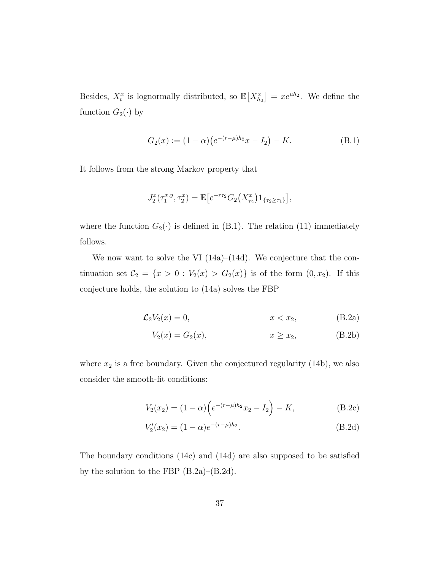Besides,  $X_t^x$  is lognormally distributed, so  $\mathbb{E}[X_{h_2}^x] = xe^{\mu h_2}$ . We define the function  $G_2(\cdot)$  by

$$
G_2(x) := (1 - \alpha) \left( e^{-(r - \mu)h_2} x - I_2 \right) - K. \tag{B.1}
$$

It follows from the strong Markov property that

$$
J_2^x(\tau_1^{x,y},\tau_2^x) = \mathbb{E}\big[e^{-r\tau_2}G_2(X_{\tau_2}^x)\mathbf{1}_{\{\tau_2\geq \tau_1\}}\big],
$$

where the function  $G_2(\cdot)$  is defined in (B.1). The relation (11) immediately follows.

We now want to solve the VI (14a)–(14d). We conjecture that the continuation set  $C_2 = \{x > 0 : V_2(x) > G_2(x)\}\$ is of the form  $(0, x_2)$ . If this conjecture holds, the solution to (14a) solves the FBP

$$
\mathcal{L}_2 V_2(x) = 0, \qquad x < x_2,\tag{B.2a}
$$

$$
V_2(x) = G_2(x), \t x \ge x_2, \t (B.2b)
$$

where  $x_2$  is a free boundary. Given the conjectured regularity (14b), we also consider the smooth-fit conditions:

$$
V_2(x_2) = (1 - \alpha) \left( e^{-(r - \mu)h_2} x_2 - I_2 \right) - K,
$$
 (B.2c)

$$
V_2'(x_2) = (1 - \alpha)e^{-(r - \mu)h_2}.
$$
\n(B.2d)

The boundary conditions (14c) and (14d) are also supposed to be satisfied by the solution to the FBP (B.2a)–(B.2d).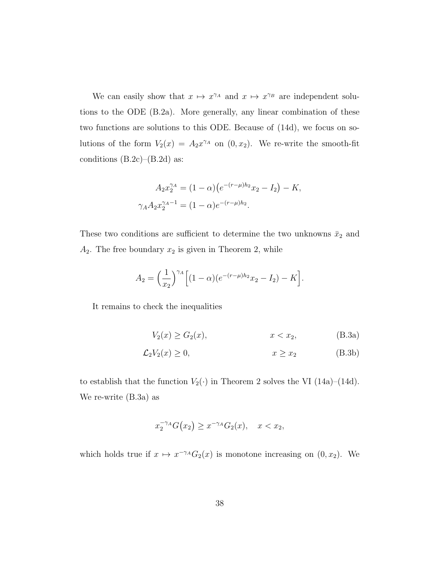We can easily show that  $x \mapsto x^{\gamma_A}$  and  $x \mapsto x^{\gamma_B}$  are independent solutions to the ODE (B.2a). More generally, any linear combination of these two functions are solutions to this ODE. Because of (14d), we focus on solutions of the form  $V_2(x) = A_2 x^{\gamma_A}$  on  $(0, x_2)$ . We re-write the smooth-fit conditions  $(B.2c)$ – $(B.2d)$  as:

$$
A_2 x_2^{\gamma A} = (1 - \alpha) (e^{-(r - \mu)h_2} x_2 - I_2) - K,
$$
  

$$
\gamma_A A_2 x_2^{\gamma_A - 1} = (1 - \alpha) e^{-(r - \mu)h_2}.
$$

These two conditions are sufficient to determine the two unknowns  $\bar{x}_2$  and  $A_2$ . The free boundary  $x_2$  is given in Theorem 2, while

$$
A_2 = \left(\frac{1}{x_2}\right)^{\gamma A} \left[ (1-\alpha)(e^{-(r-\mu)h_2}x_2 - I_2) - K \right].
$$

It remains to check the inequalities

$$
V_2(x) \ge G_2(x), \t x < x_2, \t (B.3a)
$$

$$
\mathcal{L}_2 V_2(x) \ge 0, \qquad x \ge x_2 \tag{B.3b}
$$

to establish that the function  $V_2(\cdot)$  in Theorem 2 solves the VI (14a)–(14d). We re-write (B.3a) as

$$
x_2^{-\gamma A} G(x_2) \ge x^{-\gamma A} G_2(x), \quad x < x_2,
$$

which holds true if  $x \mapsto x^{-\gamma A} G_2(x)$  is monotone increasing on  $(0, x_2)$ . We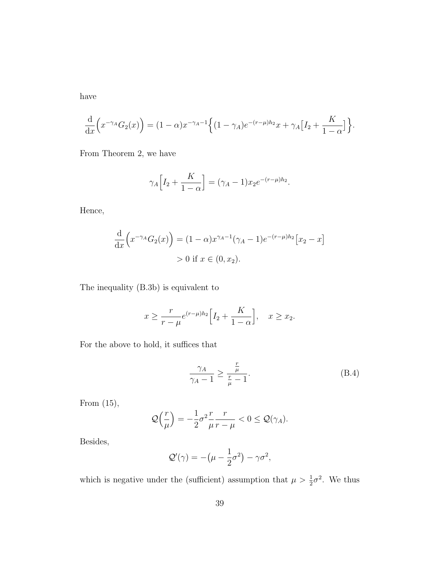have

$$
\frac{\mathrm{d}}{\mathrm{d}x}\Big(x^{-\gamma_A}G_2(x)\Big) = (1-\alpha)x^{-\gamma_A-1}\Big\{(1-\gamma_A)e^{-(r-\mu)h_2}x + \gamma_A[I_2 + \frac{K}{1-\alpha}]\Big\}.
$$

From Theorem 2, we have

$$
\gamma_A \Big[ I_2 + \frac{K}{1 - \alpha} \Big] = (\gamma_A - 1) x_2 e^{-(r - \mu) h_2}.
$$

Hence,

$$
\frac{d}{dx}\left(x^{-\gamma_A}G_2(x)\right) = (1-\alpha)x^{\gamma_A-1}(\gamma_A-1)e^{-(r-\mu)h_2}[x_2-x] > 0 \text{ if } x \in (0, x_2).
$$

The inequality (B.3b) is equivalent to

$$
x \ge \frac{r}{r-\mu} e^{(r-\mu)h_2} \Big[ I_2 + \frac{K}{1-\alpha} \Big], \quad x \ge x_2.
$$

For the above to hold, it suffices that

$$
\frac{\gamma_A}{\gamma_A - 1} \ge \frac{\frac{r}{\mu}}{\frac{r}{\mu} - 1}.\tag{B.4}
$$

From (15),

$$
\mathcal{Q}\left(\frac{r}{\mu}\right) = -\frac{1}{2}\sigma^2 \frac{r}{\mu} \frac{r}{r-\mu} < 0 \leq \mathcal{Q}(\gamma_A).
$$

Besides,

$$
\mathcal{Q}'(\gamma) = -(\mu - \frac{1}{2}\sigma^2) - \gamma \sigma^2,
$$

which is negative under the (sufficient) assumption that  $\mu > \frac{1}{2}\sigma^2$ . We thus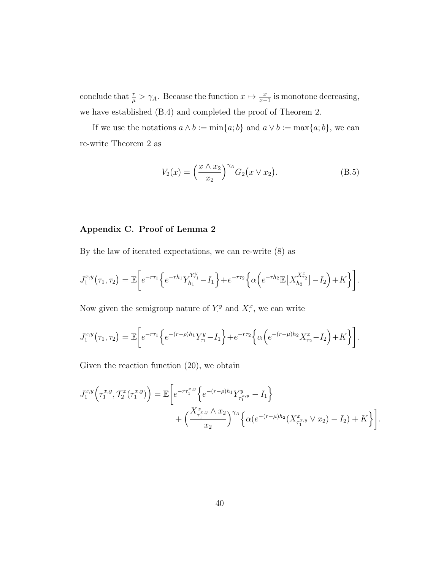conclude that  $\frac{r}{\mu} > \gamma_A$ . Because the function  $x \mapsto \frac{x}{x-1}$  is monotone decreasing, we have established (B.4) and completed the proof of Theorem 2.

If we use the notations  $a \wedge b := \min\{a; b\}$  and  $a \vee b := \max\{a; b\}$ , we can re-write Theorem 2 as

$$
V_2(x) = \left(\frac{x \wedge x_2}{x_2}\right)^{\gamma_A} G_2(x \vee x_2).
$$
 (B.5)

#### Appendix C. Proof of Lemma 2

By the law of iterated expectations, we can re-write (8) as

$$
J_1^{x,y}(\tau_1, \tau_2) = \mathbb{E}\bigg[e^{-r\tau_1}\bigg\{e^{-r h_1}Y_{h_1}^{Y_{\tau_1}^y} - I_1\bigg\} + e^{-r\tau_2}\bigg\{\alpha\bigg(e^{-r h_2}\mathbb{E}\big[X_{h_2}^{X_{\tau_2}^x}\big] - I_2\bigg) + K\bigg\}\bigg].
$$

Now given the semigroup nature of  $Y^y$  and  $X^x$ , we can write

$$
J_1^{x,y}(\tau_1, \tau_2) = \mathbb{E}\bigg[e^{-r\tau_1}\bigg\{e^{-(r-\rho)h_1}Y_{\tau_1}^y - I_1\bigg\} + e^{-r\tau_2}\bigg\{\alpha\bigg(e^{-(r-\mu)h_2}X_{\tau_2}^x - I_2\bigg) + K\bigg\}\bigg].
$$

Given the reaction function (20), we obtain

$$
J_1^{x,y} \left( \tau_1^{x,y}, \mathcal{T}_2^x(\tau_1^{x,y}) \right) = \mathbb{E} \bigg[ e^{-r \tau_1^{x,y}} \bigg\{ e^{-(r-\rho)h_1} Y_{\tau_1^{x,y}}^y - I_1 \bigg\} + \bigg( \frac{X_{\tau_1^{x,y}}^x \wedge x_2}{x_2} \bigg)^{\gamma_A} \bigg\{ \alpha (e^{-(r-\mu)h_2} (X_{\tau_1^{x,y}}^x \vee x_2) - I_2) + K \bigg\} \bigg]
$$

.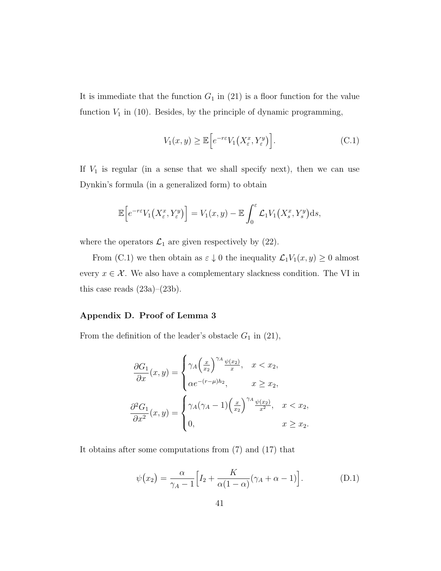It is immediate that the function  $G_1$  in (21) is a floor function for the value function  $V_1$  in (10). Besides, by the principle of dynamic programming,

$$
V_1(x,y) \ge \mathbb{E}\Big[e^{-r\varepsilon}V_1\big(X^x_{\varepsilon},Y^y_{\varepsilon}\big)\Big].\tag{C.1}
$$

If  $V_1$  is regular (in a sense that we shall specify next), then we can use Dynkin's formula (in a generalized form) to obtain

$$
\mathbb{E}\Big[e^{-r\varepsilon}V_1\big(X^x_{\varepsilon},Y^y_{\varepsilon}\big)\Big]=V_1(x,y)-\mathbb{E}\int_0^{\varepsilon}\mathcal{L}_1V_1\big(X^x_{s},Y^y_{s}\big)\mathrm{d} s,
$$

where the operators  $\mathcal{L}_1$  are given respectively by (22).

From (C.1) we then obtain as  $\varepsilon \downarrow 0$  the inequality  $\mathcal{L}_1V_1(x, y) \ge 0$  almost every  $x \in \mathcal{X}$ . We also have a complementary slackness condition. The VI in this case reads  $(23a)$ – $(23b)$ .

#### Appendix D. Proof of Lemma 3

From the definition of the leader's obstacle  $G_1$  in (21),

$$
\frac{\partial G_1}{\partial x}(x, y) = \begin{cases} \gamma_A \left(\frac{x}{x_2}\right)^{\gamma_A} \frac{\psi(x_2)}{x}, & x < x_2, \\ \alpha e^{-(r-\mu)h_2}, & x \ge x_2, \end{cases}
$$

$$
\frac{\partial^2 G_1}{\partial x^2}(x, y) = \begin{cases} \gamma_A(\gamma_A - 1) \left(\frac{x}{x_2}\right)^{\gamma_A} \frac{\psi(x_2)}{x^2}, & x < x_2, \\ 0, & x \ge x_2. \end{cases}
$$

It obtains after some computations from (7) and (17) that

$$
\psi(x_2) = \frac{\alpha}{\gamma_A - 1} \Big[ I_2 + \frac{K}{\alpha (1 - \alpha)} (\gamma_A + \alpha - 1) \Big]. \tag{D.1}
$$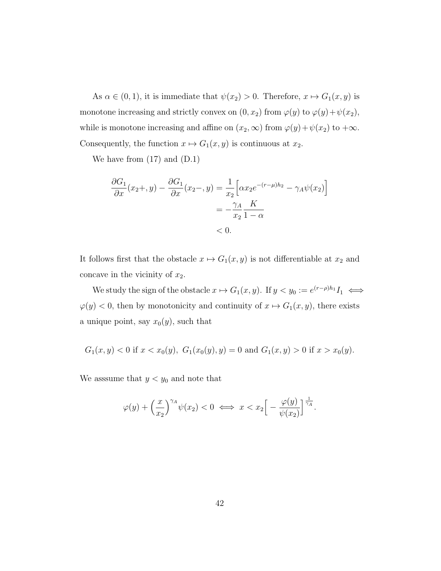As  $\alpha \in (0, 1)$ , it is immediate that  $\psi(x_2) > 0$ . Therefore,  $x \mapsto G_1(x, y)$  is monotone increasing and strictly convex on  $(0, x_2)$  from  $\varphi(y)$  to  $\varphi(y) + \psi(x_2)$ , while is monotone increasing and affine on  $(x_2,\infty)$  from  $\varphi(y)+\psi(x_2)$  to  $+\infty$ . Consequently, the function  $x \mapsto G_1(x, y)$  is continuous at  $x_2$ .

We have from (17) and (D.1)

$$
\frac{\partial G_1}{\partial x}(x_2+, y) - \frac{\partial G_1}{\partial x}(x_2-, y) = \frac{1}{x_2} \left[ \alpha x_2 e^{-(r-\mu)h_2} - \gamma_A \psi(x_2) \right]
$$

$$
= -\frac{\gamma_A}{x_2} \frac{K}{1-\alpha}
$$

$$
< 0.
$$

It follows first that the obstacle  $x \mapsto G_1(x, y)$  is not differentiable at  $x_2$  and concave in the vicinity of  $x_2$ .

We study the sign of the obstacle  $x \mapsto G_1(x, y)$ . If  $y < y_0 := e^{(r-\rho)h_1}I_1 \iff$  $\varphi(y) < 0$ , then by monotonicity and continuity of  $x \mapsto G_1(x, y)$ , there exists a unique point, say  $x_0(y)$ , such that

$$
G_1(x, y) < 0
$$
 if  $x < x_0(y)$ ,  $G_1(x_0(y), y) = 0$  and  $G_1(x, y) > 0$  if  $x > x_0(y)$ .

We asssume that  $y < y_0$  and note that

$$
\varphi(y) + \left(\frac{x}{x_2}\right)^{\gamma A} \psi(x_2) < 0 \iff x < x_2 \Big[ -\frac{\varphi(y)}{\psi(x_2)} \Big]^{\frac{1}{\gamma_A}}.
$$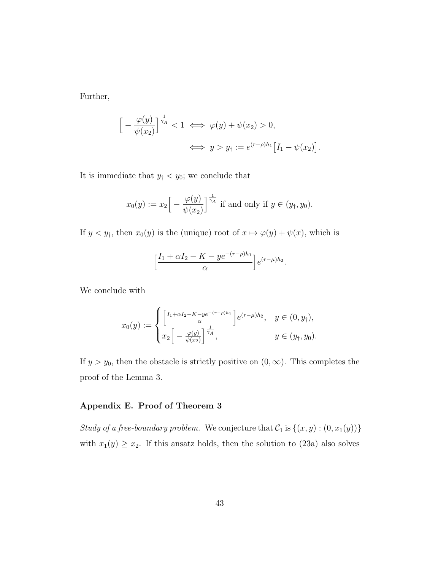Further,

$$
\left[ -\frac{\varphi(y)}{\psi(x_2)} \right]^{\frac{1}{\gamma_A}} < 1 \iff \varphi(y) + \psi(x_2) > 0,
$$
\n
$$
\iff y > y_\dagger := e^{(r-\rho)h_1} \left[ I_1 - \psi(x_2) \right].
$$

It is immediate that  $y_{\dagger} < y_0$ ; we conclude that

$$
x_0(y) := x_2 \Big[ -\frac{\varphi(y)}{\psi(x_2)} \Big]^{\frac{1}{\gamma_A}} \text{ if and only if } y \in (y_\dagger, y_0).
$$

If  $y < y_{\dagger}$ , then  $x_0(y)$  is the (unique) root of  $x \mapsto \varphi(y) + \psi(x)$ , which is

$$
\left[\frac{I_1 + \alpha I_2 - K - ye^{-(r-\rho)h_1}}{\alpha}\right]e^{(r-\mu)h_2}.
$$

We conclude with

$$
x_0(y) := \begin{cases} \left[ \frac{I_1 + \alpha I_2 - K - y e^{-(r - \rho) h_1}}{\alpha} \right] e^{(r - \mu) h_2}, & y \in (0, y_\dagger), \\ x_2 \left[ -\frac{\varphi(y)}{\psi(x_2)} \right]^{\frac{1}{\gamma_A}}, & y \in (y_\dagger, y_0). \end{cases}
$$

If  $y > y_0$ , then the obstacle is strictly positive on  $(0, \infty)$ . This completes the proof of the Lemma 3.

#### Appendix E. Proof of Theorem 3

Study of a free-boundary problem. We conjecture that  $C_1$  is  $\{(x, y) : (0, x_1(y))\}$ with  $x_1(y) \ge x_2$ . If this ansatz holds, then the solution to (23a) also solves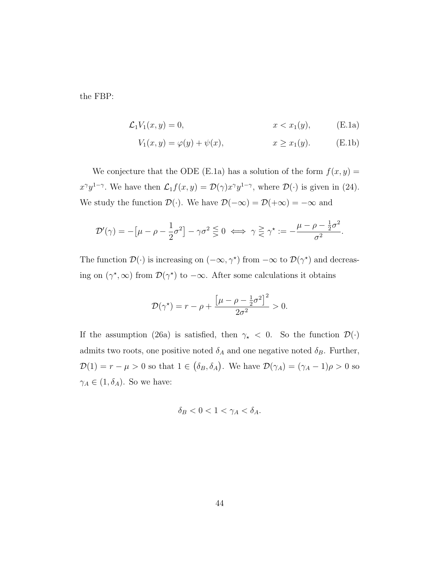the FBP:

$$
\mathcal{L}_1 V_1(x, y) = 0, \qquad x < x_1(y), \qquad \text{(E.1a)}
$$

$$
V_1(x, y) = \varphi(y) + \psi(x), \qquad x \ge x_1(y). \tag{E.1b}
$$

We conjecture that the ODE (E.1a) has a solution of the form  $f(x, y) =$  $x^{\gamma}y^{1-\gamma}$ . We have then  $\mathcal{L}_1 f(x, y) = \mathcal{D}(\gamma)x^{\gamma}y^{1-\gamma}$ , where  $\mathcal{D}(\cdot)$  is given in (24). We study the function  $\mathcal{D}(\cdot)$ . We have  $\mathcal{D}(-\infty) = \mathcal{D}(+\infty) = -\infty$  and

$$
\mathcal{D}'(\gamma) = -\left[\mu - \rho - \frac{1}{2}\sigma^2\right] - \gamma \sigma^2 \leq 0 \iff \gamma \geq \gamma^\star := -\frac{\mu - \rho - \frac{1}{2}\sigma^2}{\sigma^2}.
$$

The function  $\mathcal{D}(\cdot)$  is increasing on  $(-\infty, \gamma^*)$  from  $-\infty$  to  $\mathcal{D}(\gamma^*)$  and decreasing on  $(\gamma^*, \infty)$  from  $\mathcal{D}(\gamma^*)$  to  $-\infty$ . After some calculations it obtains

$$
\mathcal{D}(\gamma^*) = r - \rho + \frac{\left[\mu - \rho - \frac{1}{2}\sigma^2\right]^2}{2\sigma^2} > 0.
$$

If the assumption (26a) is satisfied, then  $\gamma_{\star}$  < 0. So the function  $\mathcal{D}(\cdot)$ admits two roots, one positive noted  $\delta_A$  and one negative noted  $\delta_B$ . Further,  $\mathcal{D}(1) = r - \mu > 0$  so that  $1 \in (\delta_B, \delta_A)$ . We have  $\mathcal{D}(\gamma_A) = (\gamma_A - 1)\rho > 0$  so  $\gamma_A \in (1, \delta_A)$ . So we have:

$$
\delta_B < 0 < 1 < \gamma_A < \delta_A.
$$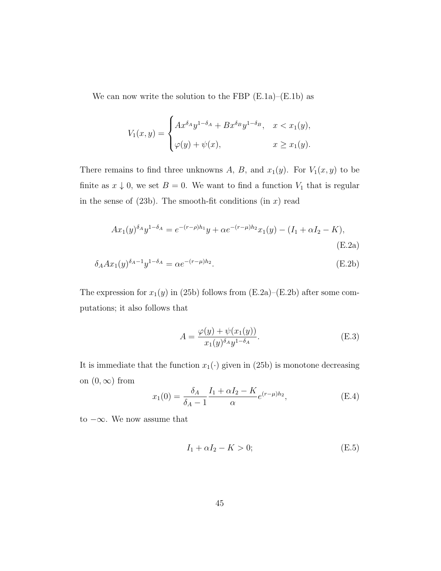We can now write the solution to the FBP  $(E.1a)$ – $(E.1b)$  as

$$
V_1(x,y) = \begin{cases} Ax^{\delta_A}y^{1-\delta_A} + Bx^{\delta_B}y^{1-\delta_B}, & x < x_1(y), \\ \varphi(y) + \psi(x), & x \ge x_1(y). \end{cases}
$$

There remains to find three unknowns A, B, and  $x_1(y)$ . For  $V_1(x, y)$  to be finite as  $x \downarrow 0$ , we set  $B = 0$ . We want to find a function  $V_1$  that is regular in the sense of  $(23b)$ . The smooth-fit conditions  $(in x)$  read

$$
Ax_1(y)^{\delta_A}y^{1-\delta_A} = e^{-(r-\rho)h_1}y + \alpha e^{-(r-\mu)h_2}x_1(y) - (I_1 + \alpha I_2 - K),
$$
\n(E.2a)

$$
\delta_A A x_1(y)^{\delta_A - 1} y^{1 - \delta_A} = \alpha e^{-(r - \mu) h_2}.
$$
\n(E.2b)

The expression for  $x_1(y)$  in (25b) follows from (E.2a)–(E.2b) after some computations; it also follows that

$$
A = \frac{\varphi(y) + \psi(x_1(y))}{x_1(y)^{\delta_A} y^{1 - \delta_A}}.
$$
 (E.3)

It is immediate that the function  $x_1(\cdot)$  given in (25b) is monotone decreasing on  $(0, \infty)$  from

$$
x_1(0) = \frac{\delta_A}{\delta_A - 1} \frac{I_1 + \alpha I_2 - K}{\alpha} e^{(r - \mu)h_2},
$$
 (E.4)

to  $-\infty$ . We now assume that

$$
I_1 + \alpha I_2 - K > 0; \tag{E.5}
$$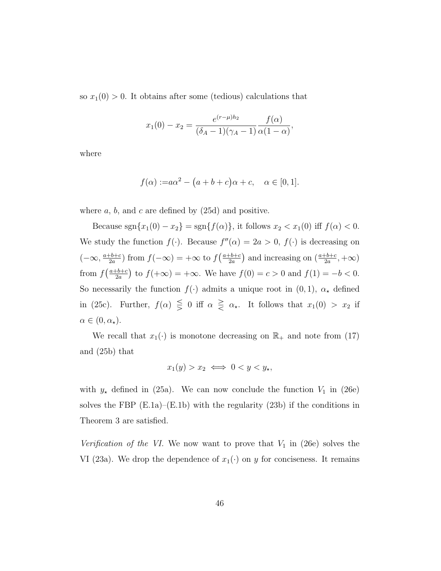so  $x_1(0) > 0$ . It obtains after some (tedious) calculations that

$$
x_1(0) - x_2 = \frac{e^{(r-\mu)h_2}}{(\delta_A - 1)(\gamma_A - 1)} \frac{f(\alpha)}{\alpha(1-\alpha)},
$$

where

$$
f(\alpha) := a\alpha^2 - (a+b+c)\alpha + c, \quad \alpha \in [0,1].
$$

where  $a, b$ , and  $c$  are defined by  $(25d)$  and positive.

Because  $sgn\{x_1(0) - x_2\} = sgn\{f(\alpha)\}\,$ , it follows  $x_2 < x_1(0)$  iff  $f(\alpha) < 0$ . We study the function  $f(\cdot)$ . Because  $f''(\alpha) = 2a > 0$ ,  $f(\cdot)$  is decreasing on  $(-\infty, \frac{a+b+c}{2a})$  $\frac{-b+c}{2a}$  from  $f(-\infty) = +\infty$  to  $f\left(\frac{a+b+c}{2a}\right)$  $\left(\frac{b+c}{2a}\right)$  and increasing on  $\left(\frac{a+b+c}{2a}, +\infty\right)$ from  $f\left(\frac{a+b+c}{2a}\right)$  $\frac{b+c}{2a}$  to  $f(+\infty) = +\infty$ . We have  $f(0) = c > 0$  and  $f(1) = -b < 0$ . So necessarily the function  $f(\cdot)$  admits a unique root in  $(0, 1)$ ,  $\alpha_{\star}$  defined in (25c). Further,  $f(\alpha) \leq 0$  iff  $\alpha \geq \alpha_{*}$ . It follows that  $x_1(0) > x_2$  if  $\alpha \in (0, \alpha_\star).$ 

We recall that  $x_1(\cdot)$  is monotone decreasing on  $\mathbb{R}_+$  and note from (17) and (25b) that

$$
x_1(y) > x_2 \iff 0 < y < y_\star,
$$

with  $y_{\star}$  defined in (25a). We can now conclude the function  $V_1$  in (26e) solves the FBP  $(E.1a)$ – $(E.1b)$  with the regularity  $(23b)$  if the conditions in Theorem 3 are satisfied.

Verification of the VI. We now want to prove that  $V_1$  in (26e) solves the VI (23a). We drop the dependence of  $x_1(\cdot)$  on y for conciseness. It remains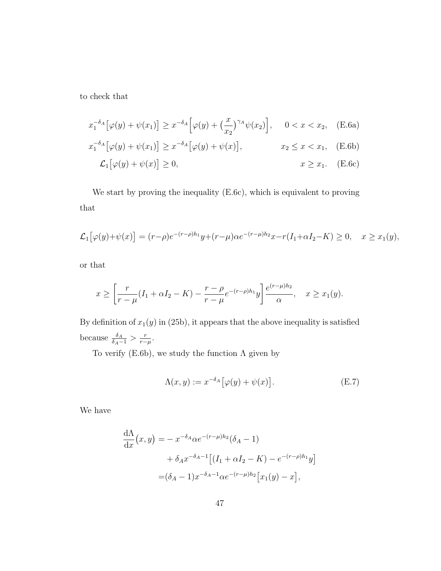to check that

$$
x_1^{-\delta_A} \left[ \varphi(y) + \psi(x_1) \right] \ge x^{-\delta_A} \left[ \varphi(y) + \left( \frac{x}{x_2} \right)^{\gamma_A} \psi(x_2) \right], \quad 0 < x < x_2, \quad \text{(E.6a)}
$$
\n
$$
x_1^{-\delta_A} \left[ \varphi(y) + \psi(x_1) \right] \ge x^{-\delta_A} \left[ \varphi(y) + \psi(x) \right], \quad x_2 \le x < x_1, \quad \text{(E.6b)}
$$
\n
$$
\mathcal{L}_1 \left[ \varphi(y) + \psi(x) \right] \ge 0, \quad x \ge x_1. \quad \text{(E.6c)}
$$

We start by proving the inequality (E.6c), which is equivalent to proving that

$$
\mathcal{L}_1[\varphi(y) + \psi(x)] = (r - \rho)e^{-(r - \rho)h_1}y + (r - \mu)\alpha e^{-(r - \mu)h_2}x - r(I_1 + \alpha I_2 - K) \ge 0, \quad x \ge x_1(y),
$$

or that

$$
x \ge \left[ \frac{r}{r - \mu} (I_1 + \alpha I_2 - K) - \frac{r - \rho}{r - \mu} e^{-(r - \rho)h_1} y \right] \frac{e^{(r - \mu)h_2}}{\alpha}, \quad x \ge x_1(y).
$$

By definition of  $x_1(y)$  in (25b), it appears that the above inequality is satisfied because  $\frac{\delta_A}{\delta_A - 1} > \frac{r}{r-1}$  $\frac{r}{r-\mu}$ .

To verify (E.6b), we study the function  $\Lambda$  given by

$$
\Lambda(x, y) := x^{-\delta_A} \big[ \varphi(y) + \psi(x) \big]. \tag{E.7}
$$

We have

$$
\frac{d\Lambda}{dx}(x,y) = -x^{-\delta_A} \alpha e^{-(r-\mu)h_2} (\delta_A - 1)
$$
  
+  $\delta_A x^{-\delta_A - 1} [(I_1 + \alpha I_2 - K) - e^{-(r-\rho)h_1} y]$   
=  $(\delta_A - 1) x^{-\delta_A - 1} \alpha e^{-(r-\mu)h_2} [x_1(y) - x],$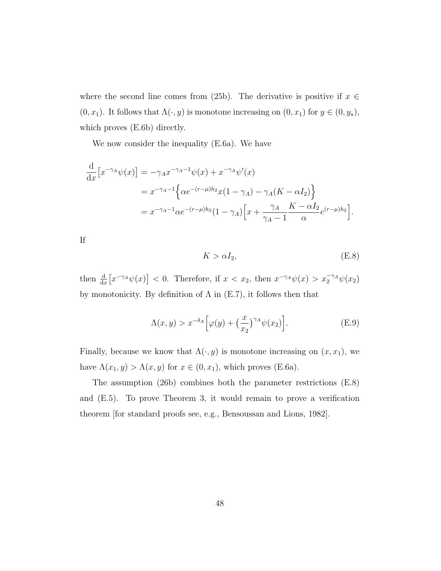where the second line comes from (25b). The derivative is positive if  $x \in$  $(0, x_1)$ . It follows that  $\Lambda(\cdot, y)$  is monotone increasing on  $(0, x_1)$  for  $y \in (0, y_\star)$ , which proves (E.6b) directly.

We now consider the inequality (E.6a). We have

$$
\frac{d}{dx} [x^{-\gamma_A} \psi(x)] = -\gamma_A x^{-\gamma_A - 1} \psi(x) + x^{-\gamma_A} \psi'(x)
$$
  
=  $x^{-\gamma_A - 1} \Big\{ \alpha e^{-(r-\mu)h_2} x (1 - \gamma_A) - \gamma_A (K - \alpha I_2) \Big\}$   
=  $x^{-\gamma_A - 1} \alpha e^{-(r-\mu)h_2} (1 - \gamma_A) \Big[ x + \frac{\gamma_A}{\gamma_A - 1} \frac{K - \alpha I_2}{\alpha} e^{(r-\mu)h_2} \Big].$ 

If

$$
K > \alpha I_2,\tag{E.8}
$$

then  $\frac{d}{dx} \left[ x^{-\gamma_A} \psi(x) \right] < 0$ . Therefore, if  $x < x_2$ , then  $x^{-\gamma_A} \psi(x) > x_2^{-\gamma_A} \psi(x_2)$ by monotonicity. By definition of  $\Lambda$  in (E.7), it follows then that

$$
\Lambda(x,y) > x^{-\delta_A} \Big[ \varphi(y) + \left(\frac{x}{x_2}\right)^{\gamma_A} \psi(x_2) \Big]. \tag{E.9}
$$

Finally, because we know that  $\Lambda(\cdot, y)$  is monotone increasing on  $(x, x_1)$ , we have  $\Lambda(x_1, y) > \Lambda(x, y)$  for  $x \in (0, x_1)$ , which proves (E.6a).

The assumption (26b) combines both the parameter restrictions (E.8) and (E.5). To prove Theorem 3, it would remain to prove a verification theorem [for standard proofs see, e.g., Bensoussan and Lions, 1982].